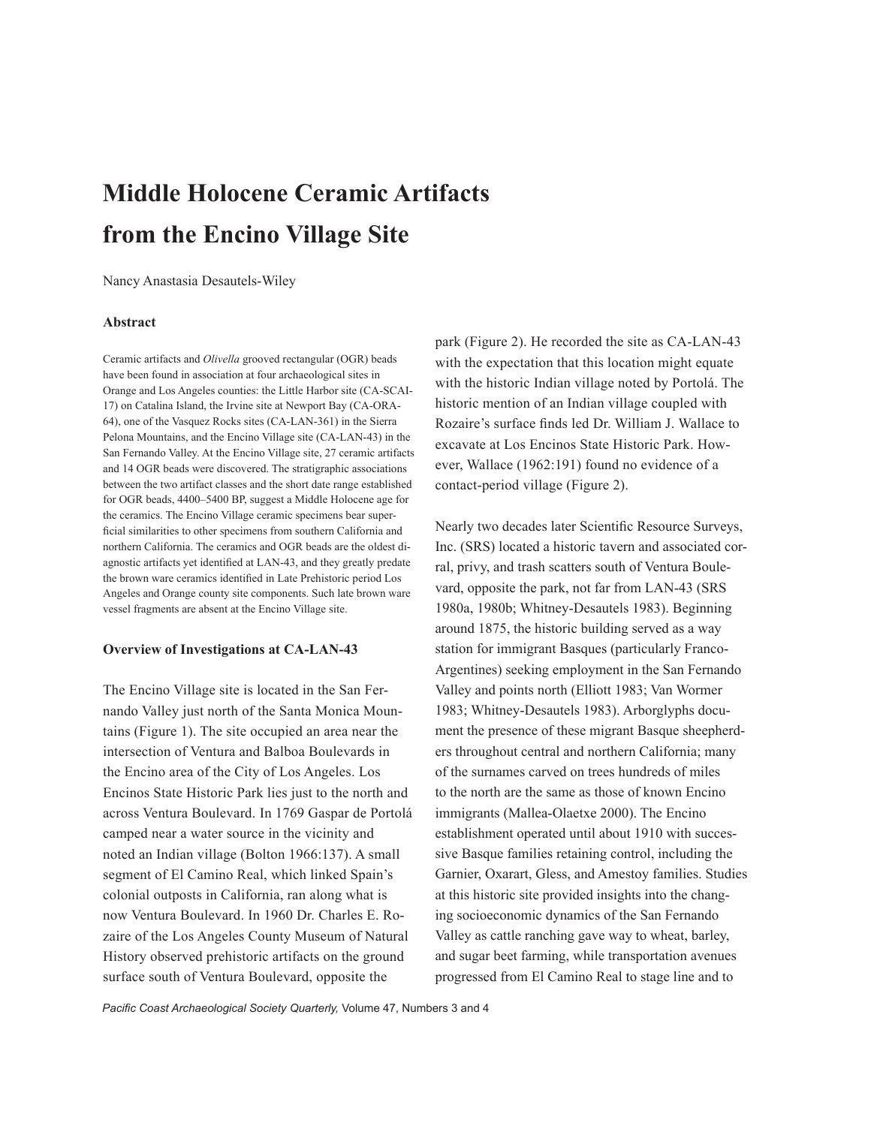# **Middle Holocene Ceramic Artifacts from the Encino Village Site**

Nancy Anastasia Desautels-Wiley

### **Abstract**

Ceramic artifacts and *Olivella* grooved rectangular (OGR) beads have been found in association at four archaeological sites in Orange and Los Angeles counties: the Little Harbor site (CA-SCAI-17) on Catalina Island, the Irvine site at Newport Bay (CA-ORA-64), one of the Vasquez Rocks sites (CA-LAN-361) in the Sierra Pelona Mountains, and the Encino Village site (CA-LAN-43) in the San Fernando Valley. At the Encino Village site, 27 ceramic artifacts and 14 OGR beads were discovered. The stratigraphic associations between the two artifact classes and the short date range established for OGR beads, 4400–5400 BP, suggest a Middle Holocene age for the ceramics. The Encino Village ceramic specimens bear superficial similarities to other specimens from southern California and northern California. The ceramics and OGR beads are the oldest diagnostic artifacts yet identified at LAN-43, and they greatly predate the brown ware ceramics identified in Late Prehistoric period Los Angeles and Orange county site components. Such late brown ware vessel fragments are absent at the Encino Village site.

#### **Overview of Investigations at CA-LAN-43**

The Encino Village site is located in the San Fernando Valley just north of the Santa Monica Mountains (Figure 1). The site occupied an area near the intersection of Ventura and Balboa Boulevards in the Encino area of the City of Los Angeles. Los Encinos State Historic Park lies just to the north and across Ventura Boulevard. In 1769 Gaspar de Portolá camped near a water source in the vicinity and noted an Indian village (Bolton 1966:137). A small segment of El Camino Real, which linked Spain's colonial outposts in California, ran along what is now Ventura Boulevard. In 1960 Dr. Charles E. Rozaire of the Los Angeles County Museum of Natural History observed prehistoric artifacts on the ground surface south of Ventura Boulevard, opposite the

park (Figure 2). He recorded the site as CA-LAN-43 with the expectation that this location might equate with the historic Indian village noted by Portolá. The historic mention of an Indian village coupled with Rozaire's surface finds led Dr. William J. Wallace to excavate at Los Encinos State Historic Park. However, Wallace (1962:191) found no evidence of a contact-period village (Figure 2).

Nearly two decades later Scientific Resource Surveys, Inc. (SRS) located a historic tavern and associated corral, privy, and trash scatters south of Ventura Boulevard, opposite the park, not far from LAN-43 (SRS 1980a, 1980b; Whitney-Desautels 1983). Beginning around 1875, the historic building served as a way station for immigrant Basques (particularly Franco-Argentines) seeking employment in the San Fernando Valley and points north (Elliott 1983; Van Wormer 1983; Whitney-Desautels 1983). Arborglyphs document the presence of these migrant Basque sheepherders throughout central and northern California; many of the surnames carved on trees hundreds of miles to the north are the same as those of known Encino immigrants (Mallea-Olaetxe 2000). The Encino establishment operated until about 1910 with successive Basque families retaining control, including the Garnier, Oxarart, Gless, and Amestoy families. Studies at this historic site provided insights into the changing socioeconomic dynamics of the San Fernando Valley as cattle ranching gave way to wheat, barley, and sugar beet farming, while transportation avenues progressed from El Camino Real to stage line and to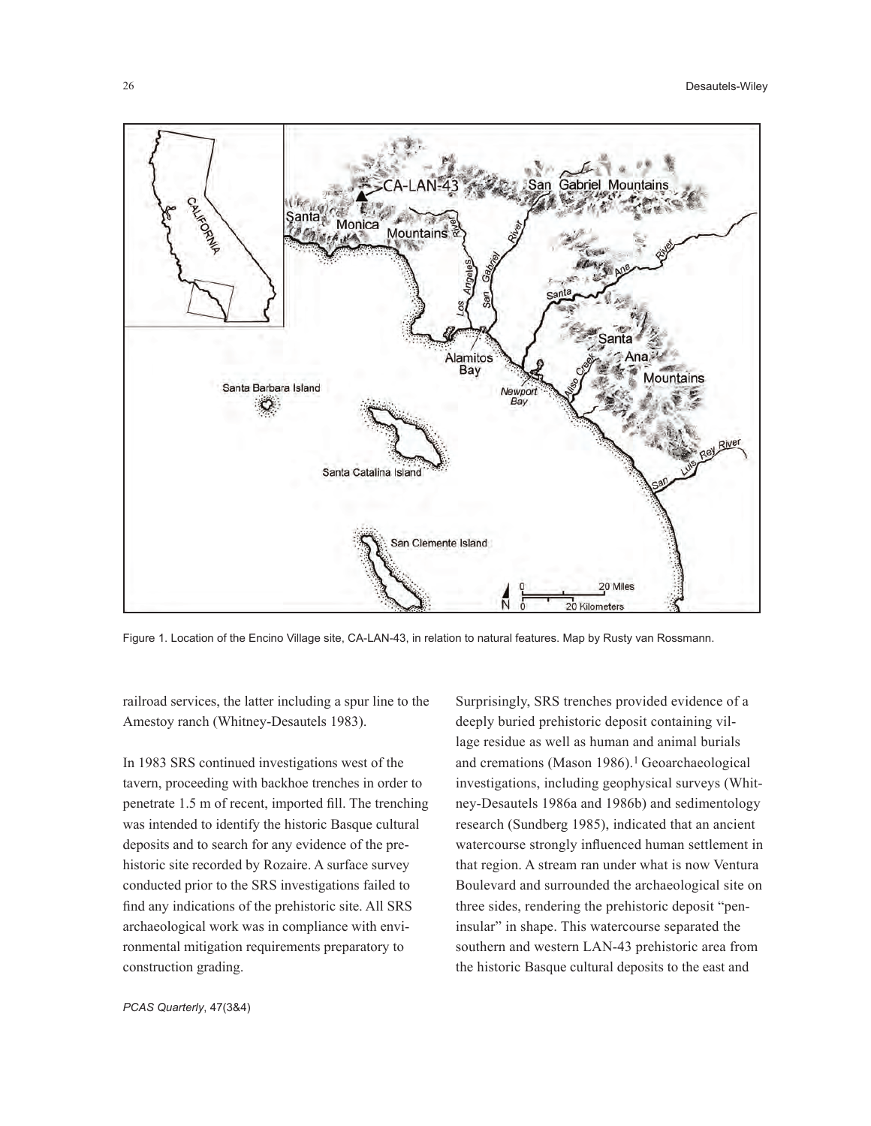

Figure 1. Location of the Encino Village site, CA-LAN-43, in relation to natural features. Map by Rusty van Rossmann.

railroad services, the latter including a spur line to the Amestoy ranch (Whitney-Desautels 1983).

In 1983 SRS continued investigations west of the tavern, proceeding with backhoe trenches in order to penetrate 1.5 m of recent, imported fill. The trenching was intended to identify the historic Basque cultural deposits and to search for any evidence of the prehistoric site recorded by Rozaire. A surface survey conducted prior to the SRS investigations failed to find any indications of the prehistoric site. All SRS archaeological work was in compliance with environmental mitigation requirements preparatory to construction grading.

Surprisingly, SRS trenches provided evidence of a deeply buried prehistoric deposit containing village residue as well as human and animal burials and cremations (Mason 1986).<sup>1</sup> Geoarchaeological investigations, including geophysical surveys (Whitney-Desautels 1986a and 1986b) and sedimentology research (Sundberg 1985), indicated that an ancient watercourse strongly influenced human settlement in that region. A stream ran under what is now Ventura Boulevard and surrounded the archaeological site on three sides, rendering the prehistoric deposit "peninsular" in shape. This watercourse separated the southern and western LAN-43 prehistoric area from the historic Basque cultural deposits to the east and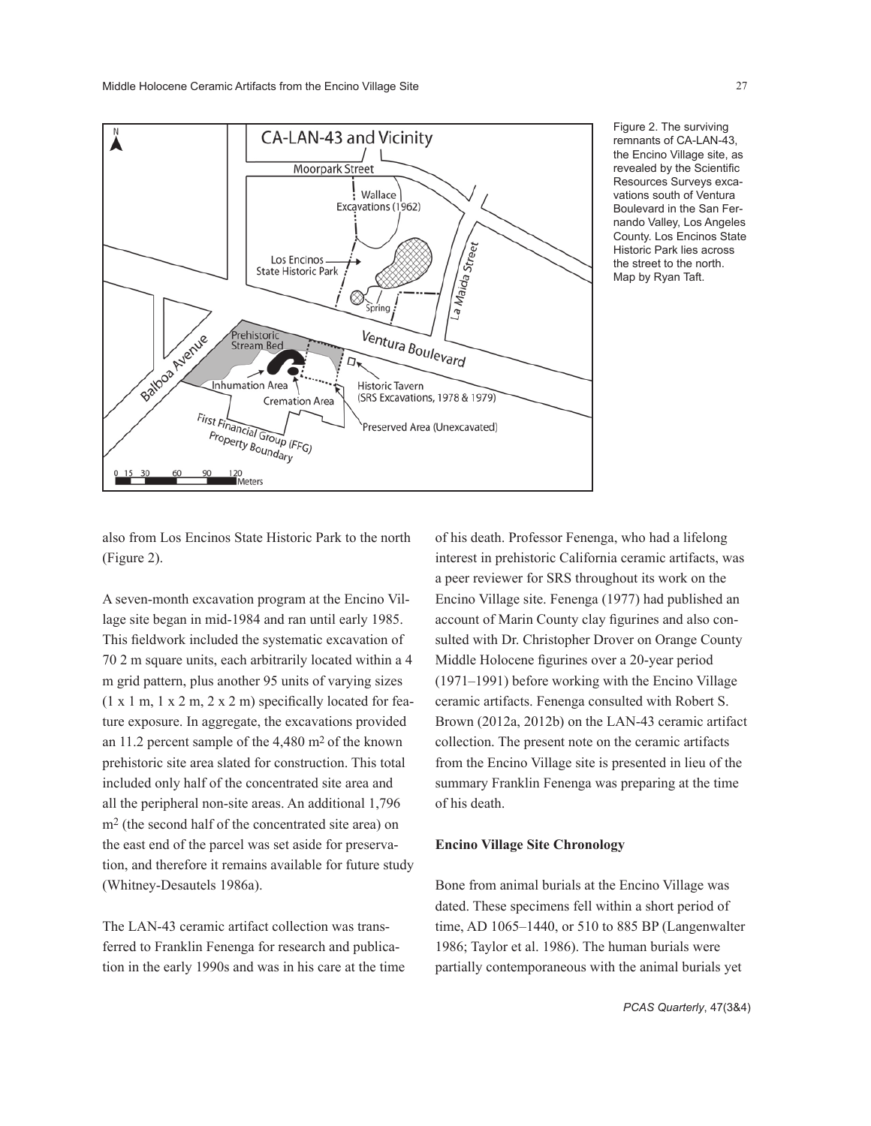

Figure 2. The surviving remnants of CA-LAN-43, the Encino Village site, as revealed by the Scientific Resources Surveys excavations south of Ventura Boulevard in the San Fernando Valley, Los Angeles County. Los Encinos State Historic Park lies across the street to the north. Map by Ryan Taft.

also from Los Encinos State Historic Park to the north (Figure 2).

A seven-month excavation program at the Encino Village site began in mid-1984 and ran until early 1985. This fieldwork included the systematic excavation of 70 2 m square units, each arbitrarily located within a 4 m grid pattern, plus another 95 units of varying sizes  $(1 \times 1 \text{ m}, 1 \times 2 \text{ m}, 2 \times 2 \text{ m})$  specifically located for feature exposure. In aggregate, the excavations provided an 11.2 percent sample of the 4,480 m2 of the known prehistoric site area slated for construction. This total included only half of the concentrated site area and all the peripheral non-site areas. An additional 1,796 m2 (the second half of the concentrated site area) on the east end of the parcel was set aside for preservation, and therefore it remains available for future study (Whitney-Desautels 1986a).

The LAN-43 ceramic artifact collection was transferred to Franklin Fenenga for research and publication in the early 1990s and was in his care at the time of his death. Professor Fenenga, who had a lifelong interest in prehistoric California ceramic artifacts, was a peer reviewer for SRS throughout its work on the Encino Village site. Fenenga (1977) had published an account of Marin County clay figurines and also consulted with Dr. Christopher Drover on Orange County Middle Holocene figurines over a 20-year period (1971–1991) before working with the Encino Village ceramic artifacts. Fenenga consulted with Robert S. Brown (2012a, 2012b) on the LAN-43 ceramic artifact collection. The present note on the ceramic artifacts from the Encino Village site is presented in lieu of the summary Franklin Fenenga was preparing at the time of his death.

#### **Encino Village Site Chronology**

Bone from animal burials at the Encino Village was dated. These specimens fell within a short period of time, AD 1065–1440, or 510 to 885 BP (Langenwalter 1986; Taylor et al. 1986). The human burials were partially contemporaneous with the animal burials yet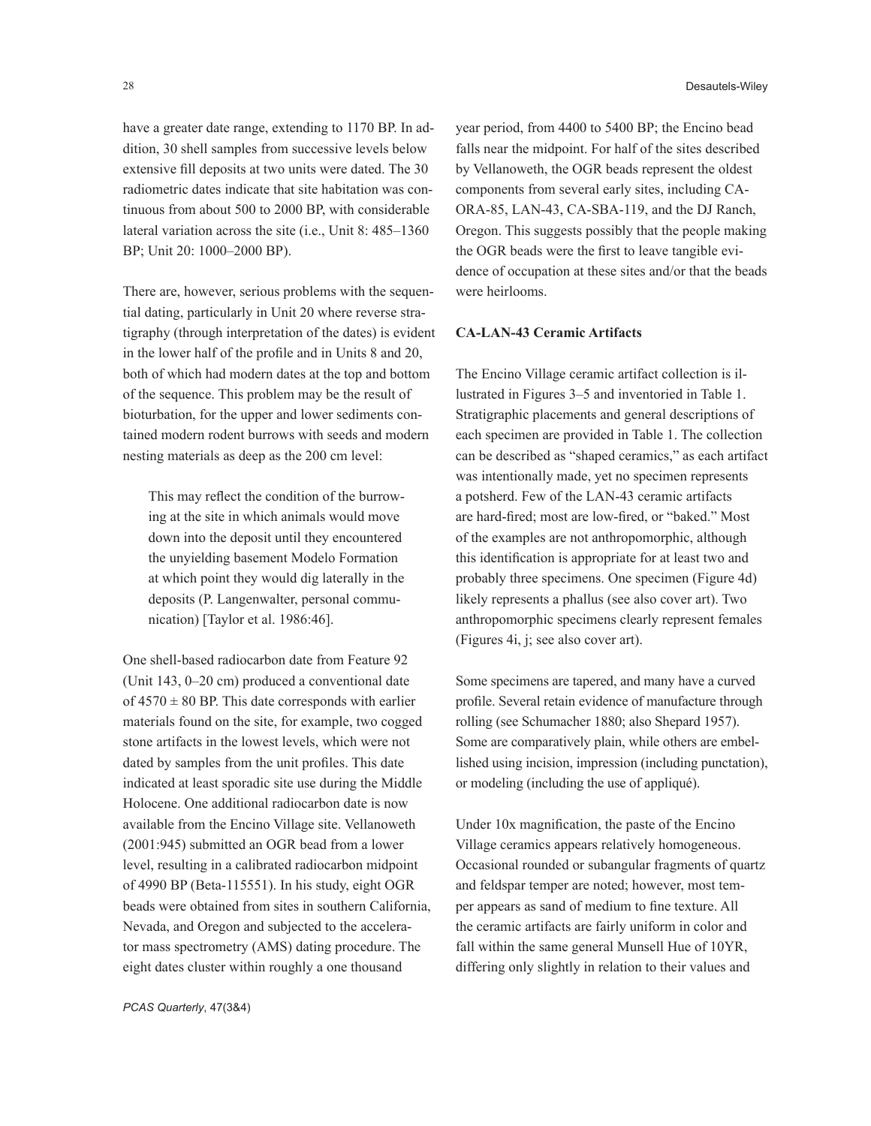have a greater date range, extending to 1170 BP. In addition, 30 shell samples from successive levels below extensive fill deposits at two units were dated. The 30 radiometric dates indicate that site habitation was continuous from about 500 to 2000 BP, with considerable lateral variation across the site (i.e., Unit 8: 485–1360 BP; Unit 20: 1000–2000 BP).

There are, however, serious problems with the sequential dating, particularly in Unit 20 where reverse stratigraphy (through interpretation of the dates) is evident in the lower half of the profile and in Units 8 and 20, both of which had modern dates at the top and bottom of the sequence. This problem may be the result of bioturbation, for the upper and lower sediments contained modern rodent burrows with seeds and modern nesting materials as deep as the 200 cm level:

This may reflect the condition of the burrowing at the site in which animals would move down into the deposit until they encountered the unyielding basement Modelo Formation at which point they would dig laterally in the deposits (P. Langenwalter, personal communication) [Taylor et al. 1986:46].

One shell-based radiocarbon date from Feature 92 (Unit 143, 0–20 cm) produced a conventional date of  $4570 \pm 80$  BP. This date corresponds with earlier materials found on the site, for example, two cogged stone artifacts in the lowest levels, which were not dated by samples from the unit profiles. This date indicated at least sporadic site use during the Middle Holocene. One additional radiocarbon date is now available from the Encino Village site. Vellanoweth (2001:945) submitted an OGR bead from a lower level, resulting in a calibrated radiocarbon midpoint of 4990 BP (Beta-115551). In his study, eight OGR beads were obtained from sites in southern California, Nevada, and Oregon and subjected to the accelerator mass spectrometry (AMS) dating procedure. The eight dates cluster within roughly a one thousand

year period, from 4400 to 5400 BP; the Encino bead falls near the midpoint. For half of the sites described by Vellanoweth, the OGR beads represent the oldest components from several early sites, including CA-ORA-85, LAN-43, CA-SBA-119, and the DJ Ranch, Oregon. This suggests possibly that the people making the OGR beads were the first to leave tangible evidence of occupation at these sites and/or that the beads were heirlooms.

# **CA-LAN-43 Ceramic Artifacts**

The Encino Village ceramic artifact collection is illustrated in Figures 3–5 and inventoried in Table 1. Stratigraphic placements and general descriptions of each specimen are provided in Table 1. The collection can be described as "shaped ceramics," as each artifact was intentionally made, yet no specimen represents a potsherd. Few of the LAN-43 ceramic artifacts are hard-fired; most are low-fired, or "baked." Most of the examples are not anthropomorphic, although this identification is appropriate for at least two and probably three specimens. One specimen (Figure 4d) likely represents a phallus (see also cover art). Two anthropomorphic specimens clearly represent females (Figures 4i, j; see also cover art).

Some specimens are tapered, and many have a curved profile. Several retain evidence of manufacture through rolling (see Schumacher 1880; also Shepard 1957). Some are comparatively plain, while others are embellished using incision, impression (including punctation), or modeling (including the use of appliqué).

Under 10x magnification, the paste of the Encino Village ceramics appears relatively homogeneous. Occasional rounded or subangular fragments of quartz and feldspar temper are noted; however, most temper appears as sand of medium to fine texture. All the ceramic artifacts are fairly uniform in color and fall within the same general Munsell Hue of 10YR, differing only slightly in relation to their values and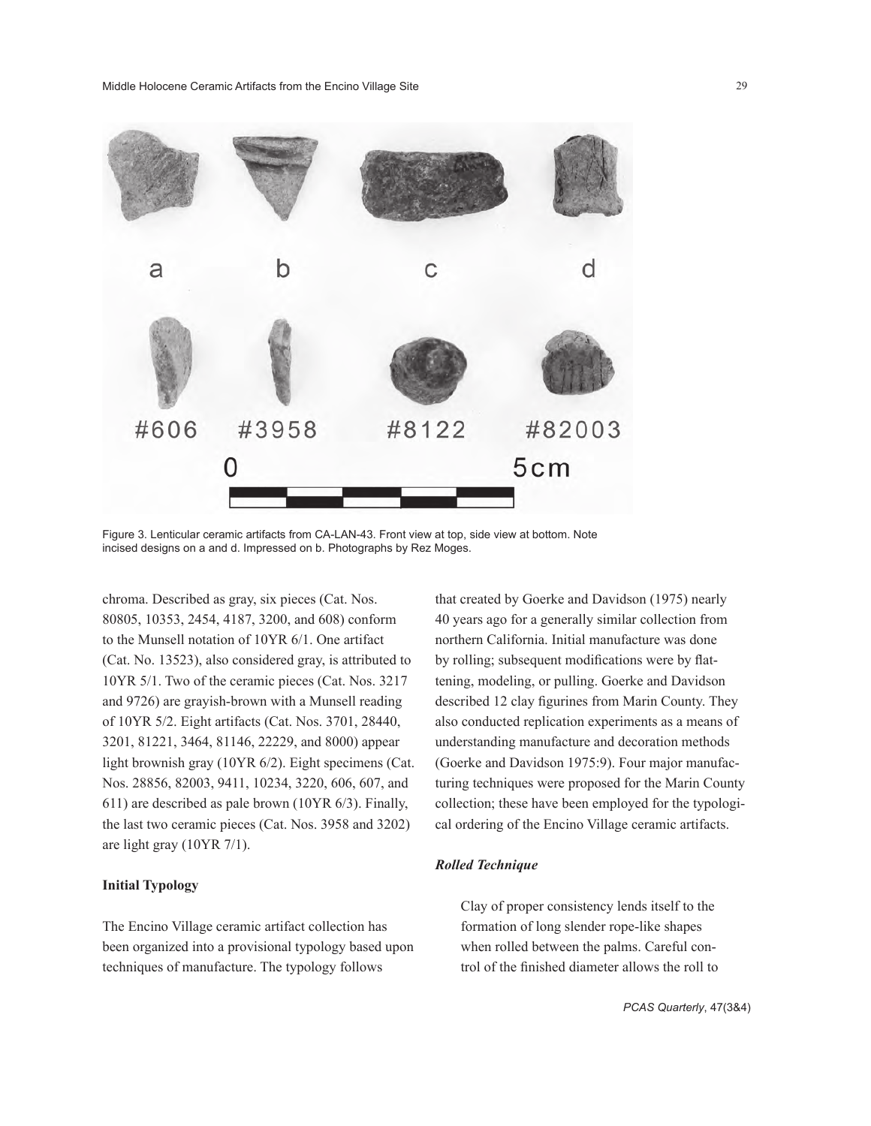

Figure 3. Lenticular ceramic artifacts from CA-LAN-43. Front view at top, side view at bottom. Note incised designs on a and d. Impressed on b. Photographs by Rez Moges.

chroma. Described as gray, six pieces (Cat. Nos. 80805, 10353, 2454, 4187, 3200, and 608) conform to the Munsell notation of 10YR 6/1. One artifact (Cat. No. 13523), also considered gray, is attributed to 10YR 5/1. Two of the ceramic pieces (Cat. Nos. 3217 and 9726) are grayish-brown with a Munsell reading of 10YR 5/2. Eight artifacts (Cat. Nos. 3701, 28440, 3201, 81221, 3464, 81146, 22229, and 8000) appear light brownish gray (10YR 6/2). Eight specimens (Cat. Nos. 28856, 82003, 9411, 10234, 3220, 606, 607, and 611) are described as pale brown (10YR 6/3). Finally, the last two ceramic pieces (Cat. Nos. 3958 and 3202) are light gray (10YR 7/1).

### **Initial Typology**

The Encino Village ceramic artifact collection has been organized into a provisional typology based upon techniques of manufacture. The typology follows

that created by Goerke and Davidson (1975) nearly 40 years ago for a generally similar collection from northern California. Initial manufacture was done by rolling; subsequent modifications were by flattening, modeling, or pulling. Goerke and Davidson described 12 clay figurines from Marin County. They also conducted replication experiments as a means of understanding manufacture and decoration methods (Goerke and Davidson 1975:9). Four major manufacturing techniques were proposed for the Marin County collection; these have been employed for the typological ordering of the Encino Village ceramic artifacts.

#### *Rolled Technique*

Clay of proper consistency lends itself to the formation of long slender rope-like shapes when rolled between the palms. Careful control of the finished diameter allows the roll to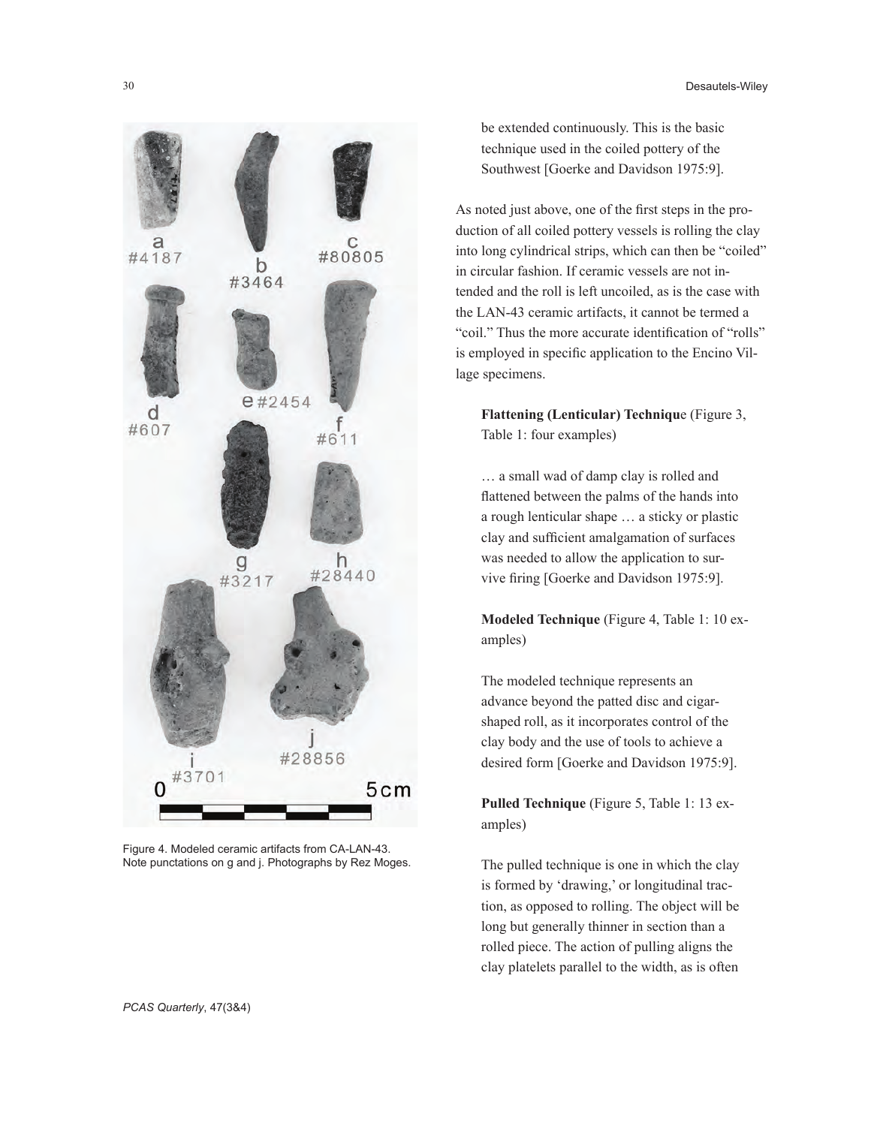

Figure 4. Modeled ceramic artifacts from CA-LAN-43. Note punctations on g and j. Photographs by Rez Moges.

be extended continuously. This is the basic technique used in the coiled pottery of the Southwest [Goerke and Davidson 1975:9].

As noted just above, one of the first steps in the production of all coiled pottery vessels is rolling the clay into long cylindrical strips, which can then be "coiled" in circular fashion. If ceramic vessels are not intended and the roll is left uncoiled, as is the case with the LAN-43 ceramic artifacts, it cannot be termed a "coil." Thus the more accurate identification of "rolls" is employed in specific application to the Encino Village specimens.

**Flattening (Lenticular) Techniqu**e (Figure 3, Table 1: four examples)

… a small wad of damp clay is rolled and flattened between the palms of the hands into a rough lenticular shape … a sticky or plastic clay and sufficient amalgamation of surfaces was needed to allow the application to survive firing [Goerke and Davidson 1975:9].

**Modeled Technique** (Figure 4, Table 1: 10 examples)

The modeled technique represents an advance beyond the patted disc and cigarshaped roll, as it incorporates control of the clay body and the use of tools to achieve a desired form [Goerke and Davidson 1975:9].

**Pulled Technique** (Figure 5, Table 1: 13 examples)

The pulled technique is one in which the clay is formed by 'drawing,' or longitudinal traction, as opposed to rolling. The object will be long but generally thinner in section than a rolled piece. The action of pulling aligns the clay platelets parallel to the width, as is often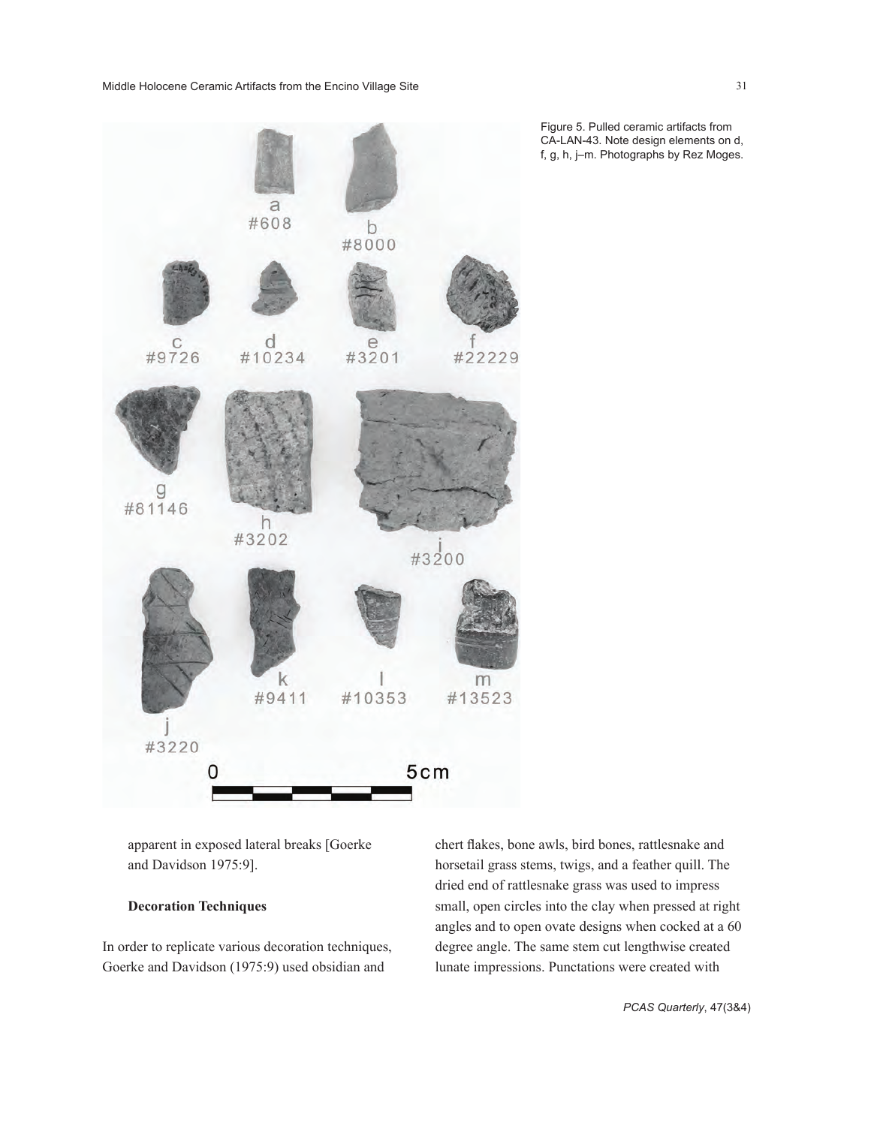

Figure 5. Pulled ceramic artifacts from CA-LAN-43. Note design elements on d, f, g, h, j–m. Photographs by Rez Moges.

apparent in exposed lateral breaks [Goerke and Davidson 1975:9].

# **Decoration Techniques**

In order to replicate various decoration techniques, Goerke and Davidson (1975:9) used obsidian and

chert flakes, bone awls, bird bones, rattlesnake and horsetail grass stems, twigs, and a feather quill. The dried end of rattlesnake grass was used to impress small, open circles into the clay when pressed at right angles and to open ovate designs when cocked at a 60 degree angle. The same stem cut lengthwise created lunate impressions. Punctations were created with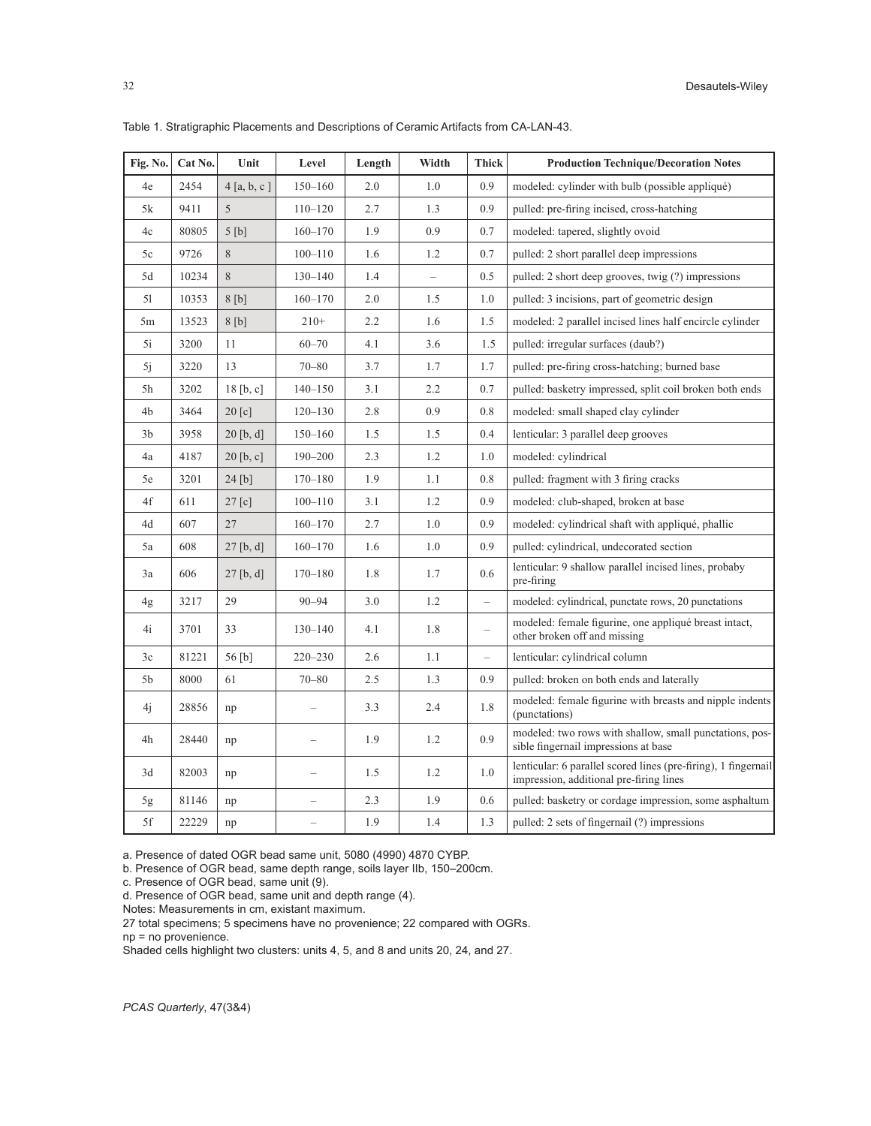| Fig. No. | Cat No. | Unit        | Level                    | Length | Width                    | <b>Thick</b>             | <b>Production Technique/Decoration Notes</b>                                                              |  |  |
|----------|---------|-------------|--------------------------|--------|--------------------------|--------------------------|-----------------------------------------------------------------------------------------------------------|--|--|
| 4e       | 2454    | 4[a, b, c]  | $150 - 160$              | 2.0    | 1.0                      | 0.9                      | modeled: cylinder with bulb (possible appliqué)                                                           |  |  |
| 5k       | 9411    | 5           | $110 - 120$              | 2.7    | 1.3                      | 0.9                      | pulled: pre-firing incised, cross-hatching                                                                |  |  |
| 4c       | 80805   | 5[b]        | $160 - 170$              | 1.9    | 0.9                      | 0.7                      | modeled: tapered, slightly ovoid                                                                          |  |  |
| 5c       | 9726    | 8           | $100 - 110$              | 1.6    | 1.2                      | 0.7                      | pulled: 2 short parallel deep impressions                                                                 |  |  |
| 5d       | 10234   | 8           | $130 - 140$              | 1.4    | $\overline{\phantom{0}}$ | 0.5                      | pulled: 2 short deep grooves, twig (?) impressions                                                        |  |  |
| 51       | 10353   | 8[b]        | $160 - 170$              | 2.0    | 1.5                      | 1.0                      | pulled: 3 incisions, part of geometric design                                                             |  |  |
| 5m       | 13523   | 8[b]        | $210+$                   | 2.2    | 1.6                      | 1.5                      | modeled: 2 parallel incised lines half encircle cylinder                                                  |  |  |
| 5i       | 3200    | 11          | $60 - 70$                | 4.1    | 3.6                      | 1.5                      | pulled: irregular surfaces (daub?)                                                                        |  |  |
| 5j       | 3220    | 13          | $70 - 80$                | 3.7    | 1.7                      | 1.7                      | pulled: pre-firing cross-hatching; burned base                                                            |  |  |
| 5h       | 3202    | 18 [b, c]   | $140 - 150$              | 3.1    | 2.2                      | 0.7                      | pulled: basketry impressed, split coil broken both ends                                                   |  |  |
| 4b       | 3464    | $20$ [c]    | $120 - 130$              | 2.8    | 0.9                      | 0.8                      | modeled: small shaped clay cylinder                                                                       |  |  |
| 3b       | 3958    | $20$ [b, d] | $150 - 160$              | 1.5    | 1.5                      | 0.4                      | lenticular: 3 parallel deep grooves                                                                       |  |  |
| 4a       | 4187    | 20 [b, c]   | $190 - 200$              | 2.3    | 1.2                      | 1.0                      | modeled: cylindrical                                                                                      |  |  |
| 5e       | 3201    | 24 [b]      | $170 - 180$              | 1.9    | 1.1                      | 0.8                      | pulled: fragment with 3 firing cracks                                                                     |  |  |
| 4f       | 611     | 27 [c]      | $100 - 110$              | 3.1    | 1.2                      | 0.9                      | modeled: club-shaped, broken at base                                                                      |  |  |
| 4d       | 607     | 27          | $160 - 170$              | 2.7    | 1.0                      | 0.9                      | modeled: cylindrical shaft with appliqué, phallic                                                         |  |  |
| 5a       | 608     | 27 [b, d]   | $160 - 170$              | 1.6    | 1.0                      | 0.9                      | pulled: cylindrical, undecorated section                                                                  |  |  |
| 3a       | 606     | $27$ [b, d] | $170 - 180$              | 1.8    | 1.7                      | 0.6                      | lenticular: 9 shallow parallel incised lines, probaby<br>pre-firing                                       |  |  |
| 4g       | 3217    | 29          | $90 - 94$                | 3.0    | 1.2                      | $\equiv$                 | modeled: cylindrical, punctate rows, 20 punctations                                                       |  |  |
| 4i       | 3701    | 33          | $130 - 140$              | 4.1    | 1.8                      | $\qquad \qquad -$        | modeled: female figurine, one appliqué breast intact,<br>other broken off and missing                     |  |  |
| 3c       | 81221   | 56 [b]      | $220 - 230$              | 2.6    | 1.1                      | $\overline{\phantom{0}}$ | lenticular: cylindrical column                                                                            |  |  |
| 5b       | 8000    | 61          | $70 - 80$                | 2.5    | 1.3                      | 0.9                      | pulled: broken on both ends and laterally                                                                 |  |  |
| 4j       | 28856   | np          |                          | 3.3    | 2.4                      | 1.8                      | modeled: female figurine with breasts and nipple indents<br>(punctations)                                 |  |  |
| 4h       | 28440   | np          | $\overline{\phantom{0}}$ | 1.9    | 1.2                      | 0.9                      | modeled: two rows with shallow, small punctations, pos-<br>sible fingernail impressions at base           |  |  |
| 3d       | 82003   | np          |                          | 1.5    | 1.2                      | 1.0                      | lenticular: 6 parallel scored lines (pre-firing), 1 fingernail<br>impression, additional pre-firing lines |  |  |
| 5g       | 81146   | np          | $\overline{\phantom{0}}$ | 2.3    | 1.9                      | 0.6                      | pulled: basketry or cordage impression, some asphaltum                                                    |  |  |
| 5f       | 22229   | np          |                          | 1.9    | 1.4                      | 1.3                      | pulled: 2 sets of fingernail (?) impressions                                                              |  |  |

Table 1. Stratigraphic Placements and Descriptions of Ceramic Artifacts from CA-LAN-43.

a. Presence of dated OGR bead same unit, 5080 (4990) 4870 CYBP.

b. Presence of OGR bead, same depth range, soils layer IIb, 150–200cm.

c. Presence of OGR bead, same unit (9).

d. Presence of OGR bead, same unit and depth range (4).

Notes: Measurements in cm, existant maximum.

27 total specimens; 5 specimens have no provenience; 22 compared with OGRs.

np = no provenience.

Shaded cells highlight two clusters: units 4, 5, and 8 and units 20, 24, and 27.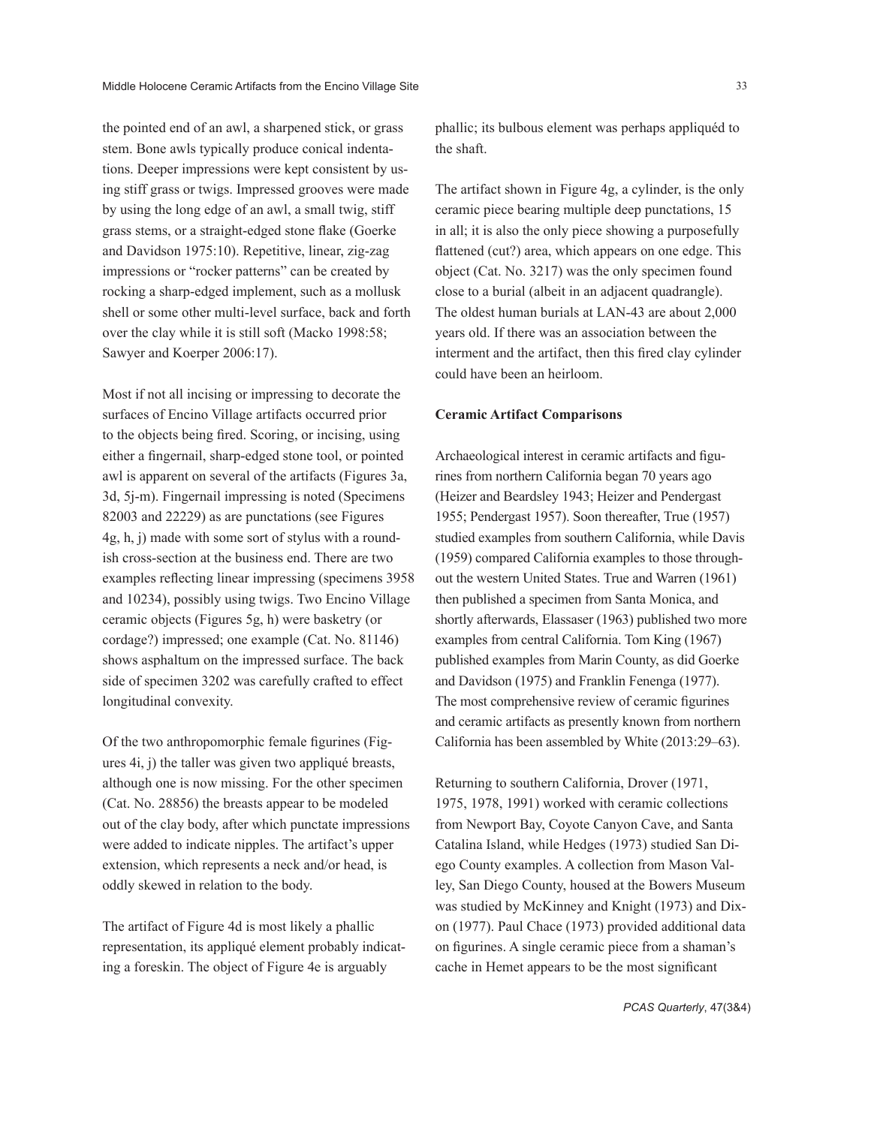the pointed end of an awl, a sharpened stick, or grass stem. Bone awls typically produce conical indentations. Deeper impressions were kept consistent by using stiff grass or twigs. Impressed grooves were made by using the long edge of an awl, a small twig, stiff grass stems, or a straight-edged stone flake (Goerke and Davidson 1975:10). Repetitive, linear, zig-zag impressions or "rocker patterns" can be created by rocking a sharp-edged implement, such as a mollusk shell or some other multi-level surface, back and forth over the clay while it is still soft (Macko 1998:58; Sawyer and Koerper 2006:17).

Most if not all incising or impressing to decorate the surfaces of Encino Village artifacts occurred prior to the objects being fired. Scoring, or incising, using either a fingernail, sharp-edged stone tool, or pointed awl is apparent on several of the artifacts (Figures 3a, 3d, 5j-m). Fingernail impressing is noted (Specimens 82003 and 22229) as are punctations (see Figures 4g, h, j) made with some sort of stylus with a roundish cross-section at the business end. There are two examples reflecting linear impressing (specimens 3958 and 10234), possibly using twigs. Two Encino Village ceramic objects (Figures 5g, h) were basketry (or cordage?) impressed; one example (Cat. No. 81146) shows asphaltum on the impressed surface. The back side of specimen 3202 was carefully crafted to effect longitudinal convexity.

Of the two anthropomorphic female figurines (Figures 4i, j) the taller was given two appliqué breasts, although one is now missing. For the other specimen (Cat. No. 28856) the breasts appear to be modeled out of the clay body, after which punctate impressions were added to indicate nipples. The artifact's upper extension, which represents a neck and/or head, is oddly skewed in relation to the body.

The artifact of Figure 4d is most likely a phallic representation, its appliqué element probably indicating a foreskin. The object of Figure 4e is arguably

phallic; its bulbous element was perhaps appliquéd to the shaft.

The artifact shown in Figure 4g, a cylinder, is the only ceramic piece bearing multiple deep punctations, 15 in all; it is also the only piece showing a purposefully flattened (cut?) area, which appears on one edge. This object (Cat. No. 3217) was the only specimen found close to a burial (albeit in an adjacent quadrangle). The oldest human burials at LAN-43 are about 2,000 years old. If there was an association between the interment and the artifact, then this fired clay cylinder could have been an heirloom.

# **Ceramic Artifact Comparisons**

Archaeological interest in ceramic artifacts and figurines from northern California began 70 years ago (Heizer and Beardsley 1943; Heizer and Pendergast 1955; Pendergast 1957). Soon thereafter, True (1957) studied examples from southern California, while Davis (1959) compared California examples to those throughout the western United States. True and Warren (1961) then published a specimen from Santa Monica, and shortly afterwards, Elassaser (1963) published two more examples from central California. Tom King (1967) published examples from Marin County, as did Goerke and Davidson (1975) and Franklin Fenenga (1977). The most comprehensive review of ceramic figurines and ceramic artifacts as presently known from northern California has been assembled by White (2013:29–63).

Returning to southern California, Drover (1971, 1975, 1978, 1991) worked with ceramic collections from Newport Bay, Coyote Canyon Cave, and Santa Catalina Island, while Hedges (1973) studied San Diego County examples. A collection from Mason Valley, San Diego County, housed at the Bowers Museum was studied by McKinney and Knight (1973) and Dixon (1977). Paul Chace (1973) provided additional data on figurines. A single ceramic piece from a shaman's cache in Hemet appears to be the most significant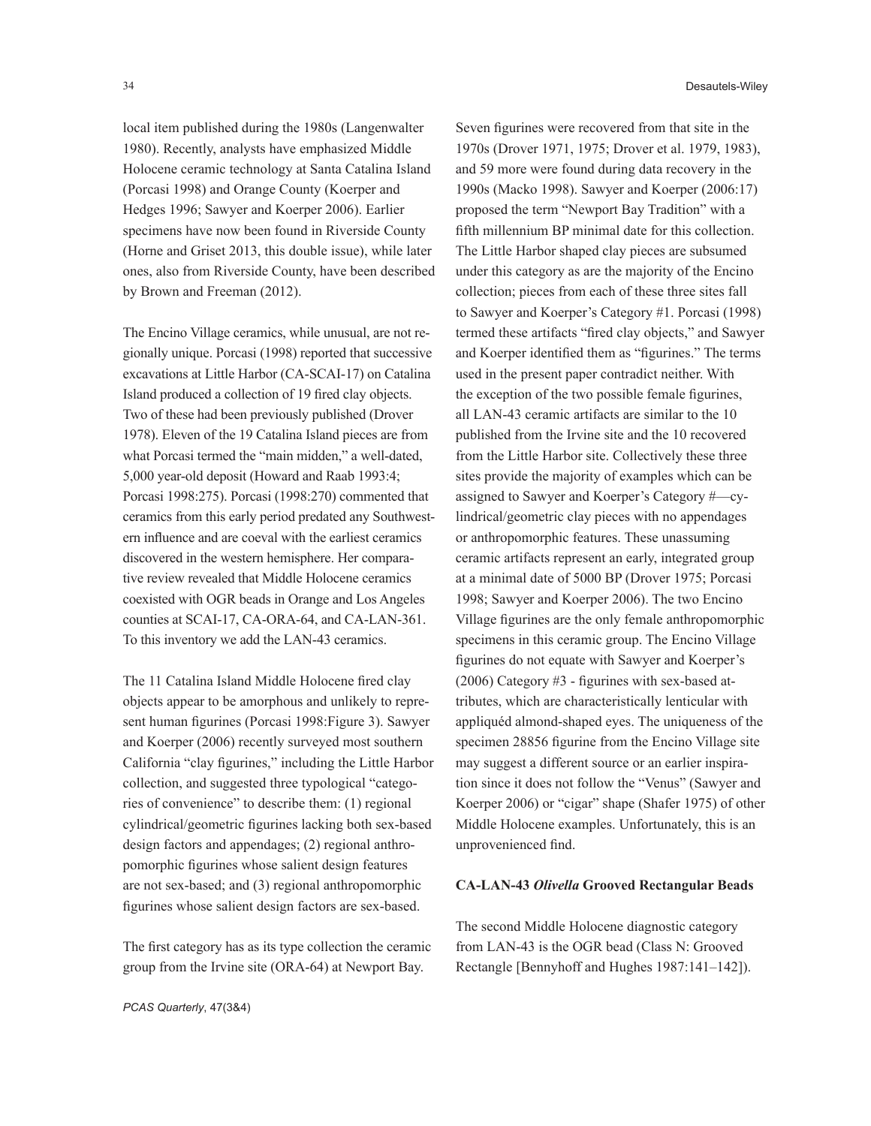local item published during the 1980s (Langenwalter 1980). Recently, analysts have emphasized Middle Holocene ceramic technology at Santa Catalina Island (Porcasi 1998) and Orange County (Koerper and Hedges 1996; Sawyer and Koerper 2006). Earlier specimens have now been found in Riverside County (Horne and Griset 2013, this double issue), while later ones, also from Riverside County, have been described by Brown and Freeman (2012).

The Encino Village ceramics, while unusual, are not regionally unique. Porcasi (1998) reported that successive excavations at Little Harbor (CA-SCAI-17) on Catalina Island produced a collection of 19 fired clay objects. Two of these had been previously published (Drover 1978). Eleven of the 19 Catalina Island pieces are from what Porcasi termed the "main midden," a well-dated, 5,000 year-old deposit (Howard and Raab 1993:4; Porcasi 1998:275). Porcasi (1998:270) commented that ceramics from this early period predated any Southwestern influence and are coeval with the earliest ceramics discovered in the western hemisphere. Her comparative review revealed that Middle Holocene ceramics coexisted with OGR beads in Orange and Los Angeles counties at SCAI-17, CA-ORA-64, and CA-LAN-361. To this inventory we add the LAN-43 ceramics.

The 11 Catalina Island Middle Holocene fired clay objects appear to be amorphous and unlikely to represent human figurines (Porcasi 1998:Figure 3). Sawyer and Koerper (2006) recently surveyed most southern California "clay figurines," including the Little Harbor collection, and suggested three typological "categories of convenience" to describe them: (1) regional cylindrical/geometric figurines lacking both sex-based design factors and appendages; (2) regional anthropomorphic figurines whose salient design features are not sex-based; and (3) regional anthropomorphic figurines whose salient design factors are sex-based.

The first category has as its type collection the ceramic group from the Irvine site (ORA-64) at Newport Bay.

Seven figurines were recovered from that site in the 1970s (Drover 1971, 1975; Drover et al. 1979, 1983), and 59 more were found during data recovery in the 1990s (Macko 1998). Sawyer and Koerper (2006:17) proposed the term "Newport Bay Tradition" with a fifth millennium BP minimal date for this collection. The Little Harbor shaped clay pieces are subsumed under this category as are the majority of the Encino collection; pieces from each of these three sites fall to Sawyer and Koerper's Category #1. Porcasi (1998) termed these artifacts "fired clay objects," and Sawyer and Koerper identified them as "figurines." The terms used in the present paper contradict neither. With the exception of the two possible female figurines, all LAN-43 ceramic artifacts are similar to the 10 published from the Irvine site and the 10 recovered from the Little Harbor site. Collectively these three sites provide the majority of examples which can be assigned to Sawyer and Koerper's Category #—cylindrical/geometric clay pieces with no appendages or anthropomorphic features. These unassuming ceramic artifacts represent an early, integrated group at a minimal date of 5000 BP (Drover 1975; Porcasi 1998; Sawyer and Koerper 2006). The two Encino Village figurines are the only female anthropomorphic specimens in this ceramic group. The Encino Village figurines do not equate with Sawyer and Koerper's (2006) Category #3 - figurines with sex-based attributes, which are characteristically lenticular with appliquéd almond-shaped eyes. The uniqueness of the specimen 28856 figurine from the Encino Village site may suggest a different source or an earlier inspiration since it does not follow the "Venus" (Sawyer and Koerper 2006) or "cigar" shape (Shafer 1975) of other Middle Holocene examples. Unfortunately, this is an unprovenienced find.

#### **CA-LAN-43** *Olivella* **Grooved Rectangular Beads**

The second Middle Holocene diagnostic category from LAN-43 is the OGR bead (Class N: Grooved Rectangle [Bennyhoff and Hughes 1987:141–142]).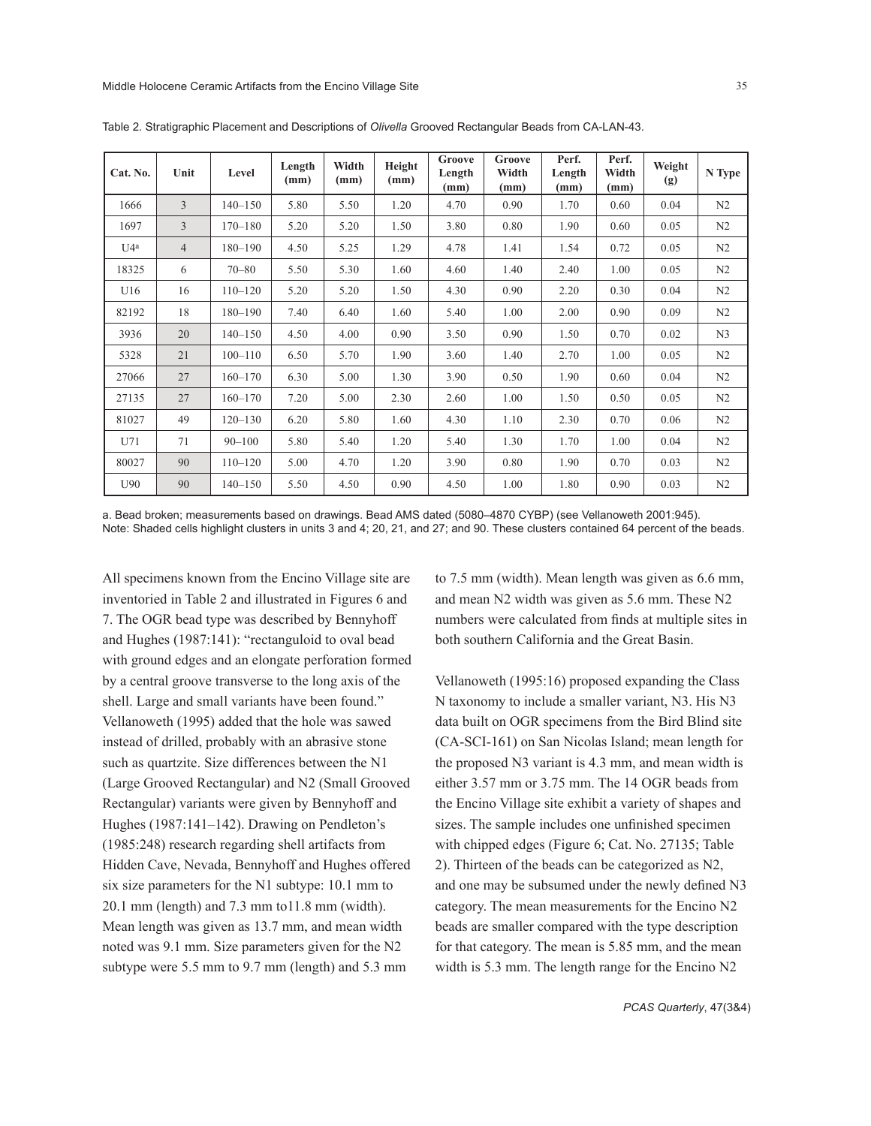| Cat. No. | Unit           | Level       | Length<br>(mm) | Width<br>(mm) | Height<br>(mm) | Groove<br>Length<br>(mm) | Groove<br>Width<br>(mm) | Perf.<br>Length<br>(mm) | Perf.<br>Width<br>(mm) | Weight<br>(g) | N Type         |
|----------|----------------|-------------|----------------|---------------|----------------|--------------------------|-------------------------|-------------------------|------------------------|---------------|----------------|
| 1666     | 3              | $140 - 150$ | 5.80           | 5.50          | 1.20           | 4.70                     | 0.90                    | 1.70                    | 0.60                   | 0.04          | N <sub>2</sub> |
| 1697     | 3              | $170 - 180$ | 5.20           | 5.20          | 1.50           | 3.80                     | 0.80                    | 1.90                    | 0.60                   | 0.05          | N <sub>2</sub> |
| U4a      | $\overline{4}$ | $180 - 190$ | 4.50           | 5.25          | 1.29           | 4.78                     | 1.41                    | 1.54                    | 0.72                   | 0.05          | N <sub>2</sub> |
| 18325    | 6              | $70 - 80$   | 5.50           | 5.30          | 1.60           | 4.60                     | 1.40                    | 2.40                    | 1.00                   | 0.05          | N <sub>2</sub> |
| U16      | 16             | $110 - 120$ | 5.20           | 5.20          | 1.50           | 4.30                     | 0.90                    | 2.20                    | 0.30                   | 0.04          | N <sub>2</sub> |
| 82192    | 18             | $180 - 190$ | 7.40           | 6.40          | 1.60           | 5.40                     | 1.00                    | 2.00                    | 0.90                   | 0.09          | N <sub>2</sub> |
| 3936     | 20             | $140 - 150$ | 4.50           | 4.00          | 0.90           | 3.50                     | 0.90                    | 1.50                    | 0.70                   | 0.02          | N <sub>3</sub> |
| 5328     | 21             | $100 - 110$ | 6.50           | 5.70          | 1.90           | 3.60                     | 1.40                    | 2.70                    | 1.00                   | 0.05          | N <sub>2</sub> |
| 27066    | 27             | $160 - 170$ | 6.30           | 5.00          | 1.30           | 3.90                     | 0.50                    | 1.90                    | 0.60                   | 0.04          | N <sub>2</sub> |
| 27135    | 27             | $160 - 170$ | 7.20           | 5.00          | 2.30           | 2.60                     | 1.00                    | 1.50                    | 0.50                   | 0.05          | N <sub>2</sub> |
| 81027    | 49             | $120 - 130$ | 6.20           | 5.80          | 1.60           | 4.30                     | 1.10                    | 2.30                    | 0.70                   | 0.06          | N <sub>2</sub> |
| U71      | 71             | $90 - 100$  | 5.80           | 5.40          | 1.20           | 5.40                     | 1.30                    | 1.70                    | 1.00                   | 0.04          | N <sub>2</sub> |
| 80027    | 90             | $110 - 120$ | 5.00           | 4.70          | 1.20           | 3.90                     | 0.80                    | 1.90                    | 0.70                   | 0.03          | N <sub>2</sub> |
| U90      | 90             | $140 - 150$ | 5.50           | 4.50          | 0.90           | 4.50                     | 1.00                    | 1.80                    | 0.90                   | 0.03          | N <sub>2</sub> |

Table 2. Stratigraphic Placement and Descriptions of *Olivella* Grooved Rectangular Beads from CA-LAN-43.

a. Bead broken; measurements based on drawings. Bead AMS dated (5080–4870 CYBP) (see Vellanoweth 2001:945). Note: Shaded cells highlight clusters in units 3 and 4; 20, 21, and 27; and 90. These clusters contained 64 percent of the beads.

All specimens known from the Encino Village site are inventoried in Table 2 and illustrated in Figures 6 and 7. The OGR bead type was described by Bennyhoff and Hughes (1987:141): "rectanguloid to oval bead with ground edges and an elongate perforation formed by a central groove transverse to the long axis of the shell. Large and small variants have been found." Vellanoweth (1995) added that the hole was sawed instead of drilled, probably with an abrasive stone such as quartzite. Size differences between the N1 (Large Grooved Rectangular) and N2 (Small Grooved Rectangular) variants were given by Bennyhoff and Hughes (1987:141–142). Drawing on Pendleton's (1985:248) research regarding shell artifacts from Hidden Cave, Nevada, Bennyhoff and Hughes offered six size parameters for the N1 subtype: 10.1 mm to 20.1 mm (length) and 7.3 mm to11.8 mm (width). Mean length was given as 13.7 mm, and mean width noted was 9.1 mm. Size parameters given for the N2 subtype were 5.5 mm to 9.7 mm (length) and 5.3 mm

to 7.5 mm (width). Mean length was given as 6.6 mm, and mean N2 width was given as 5.6 mm. These N2 numbers were calculated from finds at multiple sites in both southern California and the Great Basin.

Vellanoweth (1995:16) proposed expanding the Class N taxonomy to include a smaller variant, N3. His N3 data built on OGR specimens from the Bird Blind site (CA-SCI-161) on San Nicolas Island; mean length for the proposed N3 variant is 4.3 mm, and mean width is either 3.57 mm or 3.75 mm. The 14 OGR beads from the Encino Village site exhibit a variety of shapes and sizes. The sample includes one unfinished specimen with chipped edges (Figure 6; Cat. No. 27135; Table 2). Thirteen of the beads can be categorized as N2, and one may be subsumed under the newly defined N3 category. The mean measurements for the Encino N2 beads are smaller compared with the type description for that category. The mean is 5.85 mm, and the mean width is 5.3 mm. The length range for the Encino N2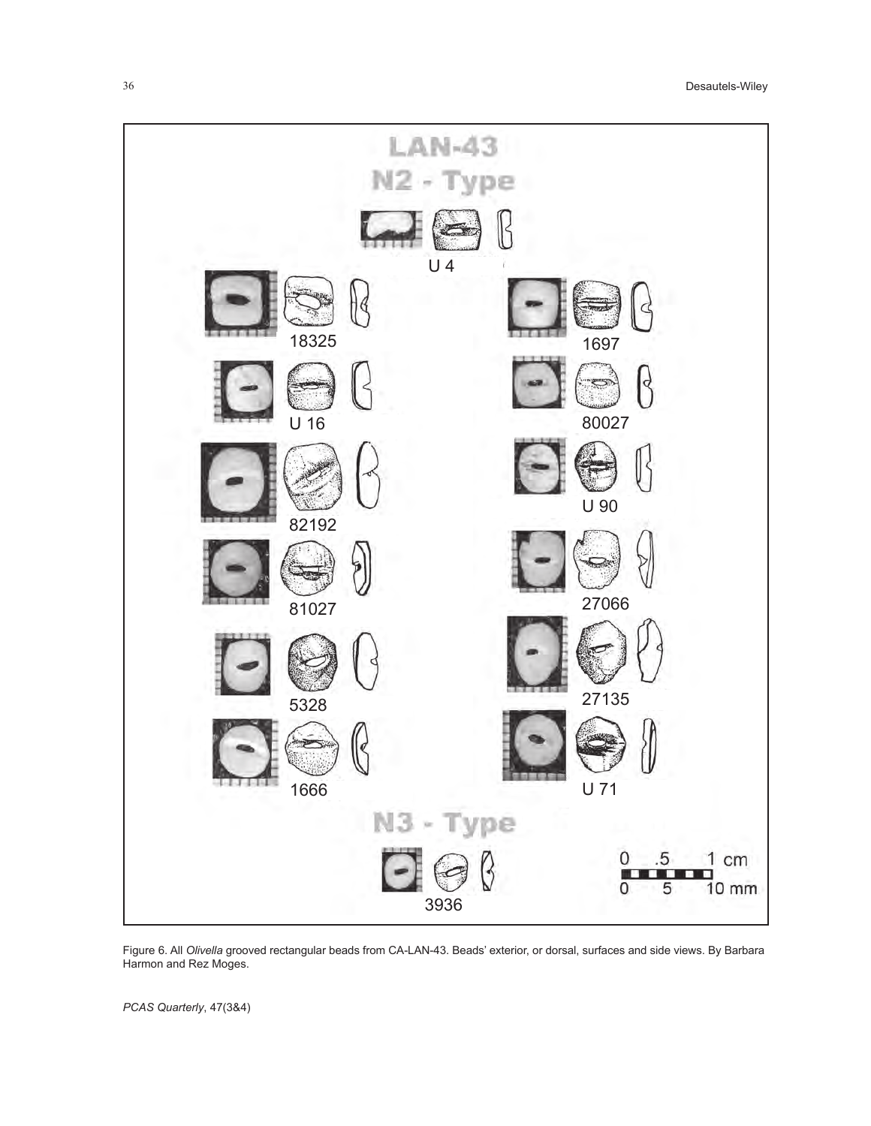

Figure 6. All *Olivella* grooved rectangular beads from CA-LAN-43. Beads' exterior, or dorsal, surfaces and side views. By Barbara Harmon and Rez Moges.

*PCAS Quarterly*, 47(3&4)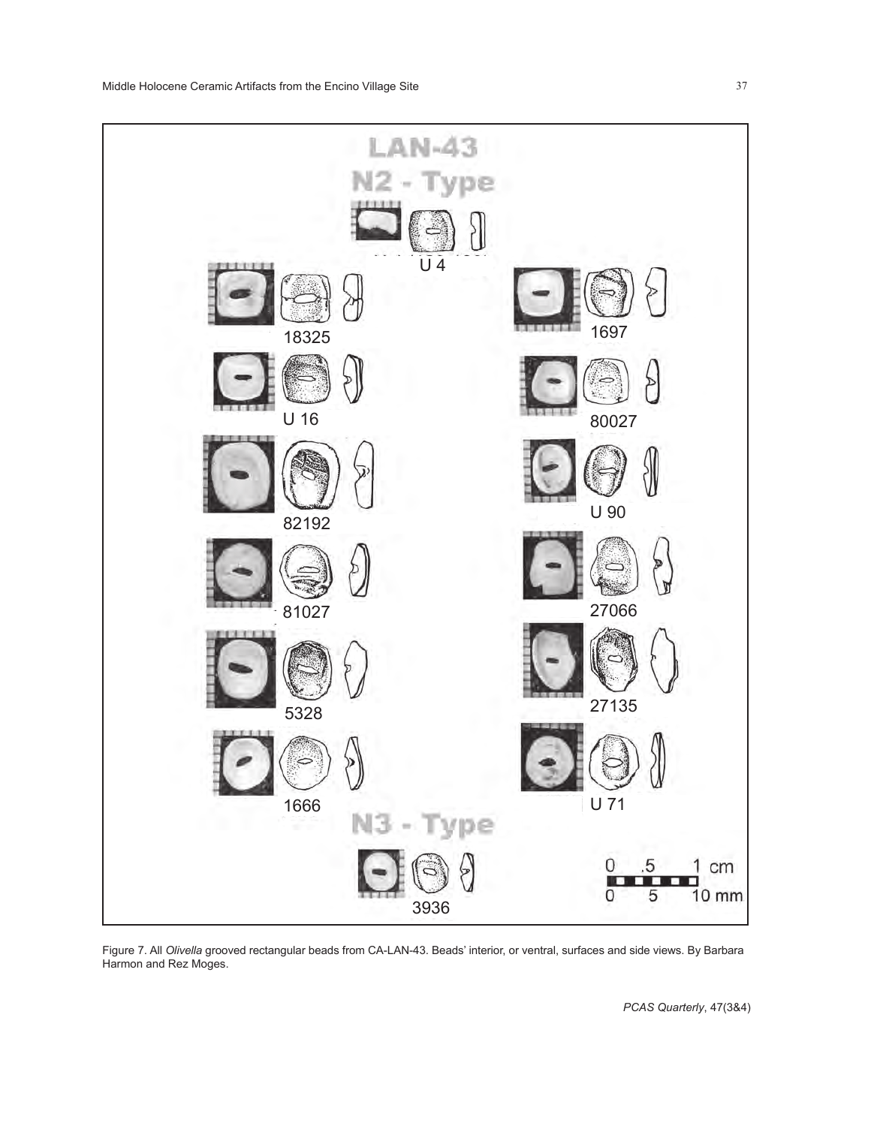

Figure 7. All *Olivella* grooved rectangular beads from CA-LAN-43. Beads' interior, or ventral, surfaces and side views. By Barbara Harmon and Rez Moges.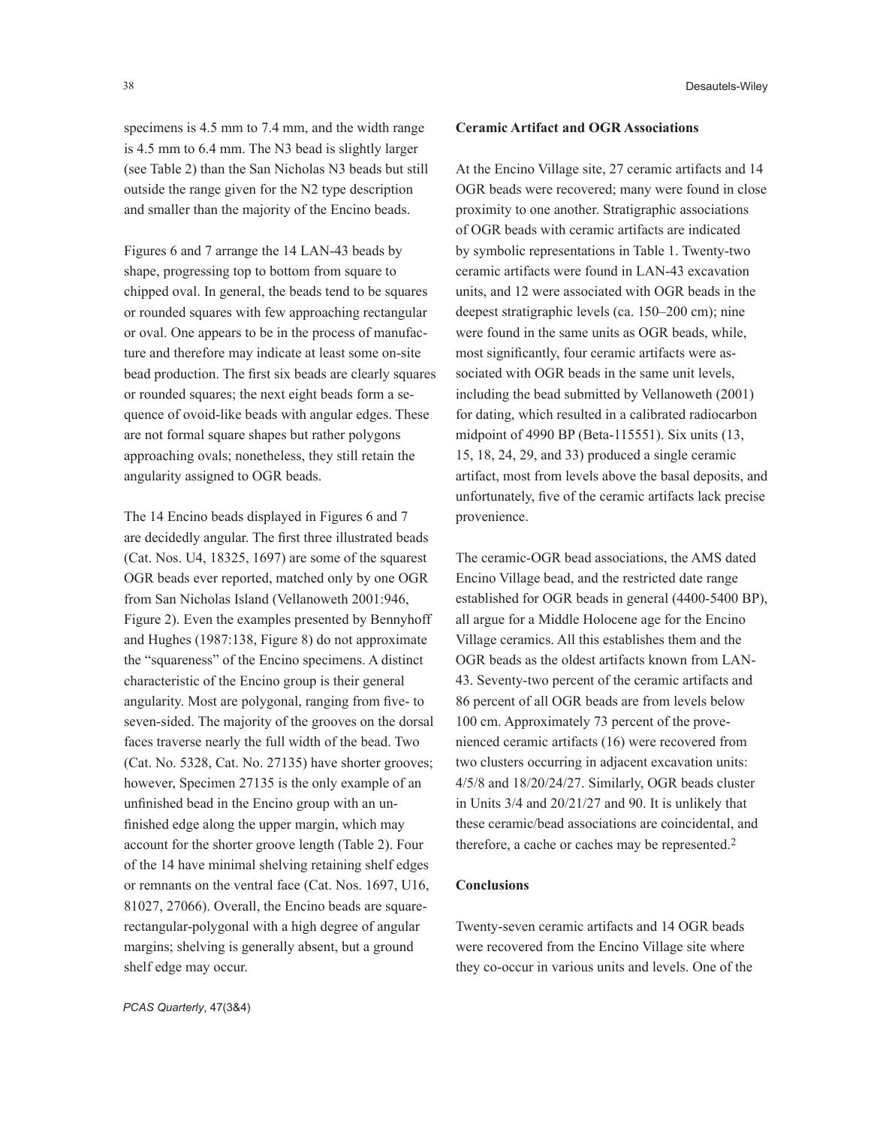specimens is 4.5 mm to 7.4 mm, and the width range is 4.5 mm to 6.4 mm. The N3 bead is slightly larger (see Table 2) than the San Nicholas N3 beads but still outside the range given for the N2 type description and smaller than the majority of the Encino beads.

Figures 6 and 7 arrange the 14 LAN-43 beads by shape, progressing top to bottom from square to chipped oval. In general, the beads tend to be squares or rounded squares with few approaching rectangular or oval. One appears to be in the process of manufacture and therefore may indicate at least some on-site bead production. The first six beads are clearly squares or rounded squares; the next eight beads form a sequence of ovoid-like beads with angular edges. These are not formal square shapes but rather polygons approaching ovals; nonetheless, they still retain the angularity assigned to OGR beads.

The 14 Encino beads displayed in Figures 6 and 7 are decidedly angular. The first three illustrated beads (Cat. Nos. U4, 18325, 1697) are some of the squarest OGR beads ever reported, matched only by one OGR from San Nicholas Island (Vellanoweth 2001:946, Figure 2). Even the examples presented by Bennyhoff and Hughes (1987:138, Figure 8) do not approximate the "squareness" of the Encino specimens. A distinct characteristic of the Encino group is their general angularity. Most are polygonal, ranging from five- to seven-sided. The majority of the grooves on the dorsal faces traverse nearly the full width of the bead. Two (Cat. No. 5328, Cat. No. 27135) have shorter grooves; however, Specimen 27135 is the only example of an unfinished bead in the Encino group with an unfinished edge along the upper margin, which may account for the shorter groove length (Table 2). Four of the 14 have minimal shelving retaining shelf edges or remnants on the ventral face (Cat. Nos. 1697, U16, 81027, 27066). Overall, the Encino beads are squarerectangular-polygonal with a high degree of angular margins; shelving is generally absent, but a ground shelf edge may occur.

OGR beads were recovered; many were found in close proximity to one another. Stratigraphic associations of OGR beads with ceramic artifacts are indicated by symbolic representations in Table 1. Twenty-two ceramic artifacts were found in LAN-43 excavation units, and 12 were associated with OGR beads in the deepest stratigraphic levels (ca. 150–200 cm); nine were found in the same units as OGR beads, while, most significantly, four ceramic artifacts were associated with OGR beads in the same unit levels, including the bead submitted by Vellanoweth (2001) for dating, which resulted in a calibrated radiocarbon midpoint of 4990 BP (Beta-115551). Six units (13, 15, 18, 24, 29, and 33) produced a single ceramic artifact, most from levels above the basal deposits, and unfortunately, five of the ceramic artifacts lack precise provenience.

At the Encino Village site, 27 ceramic artifacts and 14

**Ceramic Artifact and OGR Associations**

The ceramic-OGR bead associations, the AMS dated Encino Village bead, and the restricted date range established for OGR beads in general (4400-5400 BP), all argue for a Middle Holocene age for the Encino Village ceramics. All this establishes them and the OGR beads as the oldest artifacts known from LAN-43. Seventy-two percent of the ceramic artifacts and 86 percent of all OGR beads are from levels below 100 cm. Approximately 73 percent of the provenienced ceramic artifacts (16) were recovered from two clusters occurring in adjacent excavation units: 4/5/8 and 18/20/24/27. Similarly, OGR beads cluster in Units 3/4 and 20/21/27 and 90. It is unlikely that these ceramic/bead associations are coincidental, and therefore, a cache or caches may be represented.2

### **Conclusions**

Twenty-seven ceramic artifacts and 14 OGR beads were recovered from the Encino Village site where they co-occur in various units and levels. One of the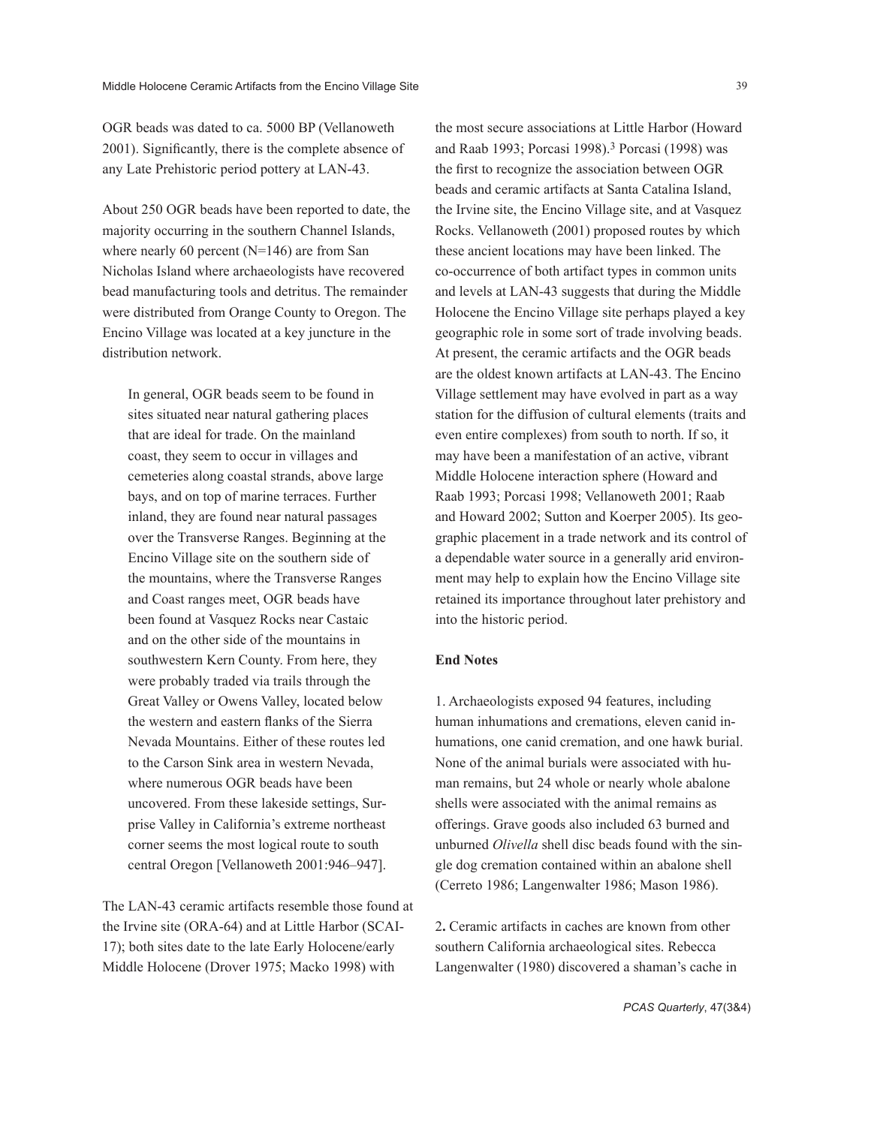OGR beads was dated to ca. 5000 BP (Vellanoweth 2001). Significantly, there is the complete absence of any Late Prehistoric period pottery at LAN-43.

About 250 OGR beads have been reported to date, the majority occurring in the southern Channel Islands, where nearly 60 percent (N=146) are from San Nicholas Island where archaeologists have recovered bead manufacturing tools and detritus. The remainder were distributed from Orange County to Oregon. The Encino Village was located at a key juncture in the distribution network.

In general, OGR beads seem to be found in sites situated near natural gathering places that are ideal for trade. On the mainland coast, they seem to occur in villages and cemeteries along coastal strands, above large bays, and on top of marine terraces. Further inland, they are found near natural passages over the Transverse Ranges. Beginning at the Encino Village site on the southern side of the mountains, where the Transverse Ranges and Coast ranges meet, OGR beads have been found at Vasquez Rocks near Castaic and on the other side of the mountains in southwestern Kern County. From here, they were probably traded via trails through the Great Valley or Owens Valley, located below the western and eastern flanks of the Sierra Nevada Mountains. Either of these routes led to the Carson Sink area in western Nevada, where numerous OGR beads have been uncovered. From these lakeside settings, Surprise Valley in California's extreme northeast corner seems the most logical route to south central Oregon [Vellanoweth 2001:946–947].

The LAN-43 ceramic artifacts resemble those found at the Irvine site (ORA-64) and at Little Harbor (SCAI-17); both sites date to the late Early Holocene/early Middle Holocene (Drover 1975; Macko 1998) with

the most secure associations at Little Harbor (Howard and Raab 1993; Porcasi 1998).3 Porcasi (1998) was the first to recognize the association between OGR beads and ceramic artifacts at Santa Catalina Island, the Irvine site, the Encino Village site, and at Vasquez Rocks. Vellanoweth (2001) proposed routes by which these ancient locations may have been linked. The co-occurrence of both artifact types in common units and levels at LAN-43 suggests that during the Middle Holocene the Encino Village site perhaps played a key geographic role in some sort of trade involving beads. At present, the ceramic artifacts and the OGR beads are the oldest known artifacts at LAN-43. The Encino Village settlement may have evolved in part as a way station for the diffusion of cultural elements (traits and even entire complexes) from south to north. If so, it may have been a manifestation of an active, vibrant Middle Holocene interaction sphere (Howard and Raab 1993; Porcasi 1998; Vellanoweth 2001; Raab and Howard 2002; Sutton and Koerper 2005). Its geographic placement in a trade network and its control of a dependable water source in a generally arid environment may help to explain how the Encino Village site retained its importance throughout later prehistory and into the historic period.

### **End Notes**

1. Archaeologists exposed 94 features, including human inhumations and cremations, eleven canid inhumations, one canid cremation, and one hawk burial. None of the animal burials were associated with human remains, but 24 whole or nearly whole abalone shells were associated with the animal remains as offerings. Grave goods also included 63 burned and unburned *Olivella* shell disc beads found with the single dog cremation contained within an abalone shell (Cerreto 1986; Langenwalter 1986; Mason 1986).

2**.** Ceramic artifacts in caches are known from other southern California archaeological sites. Rebecca Langenwalter (1980) discovered a shaman's cache in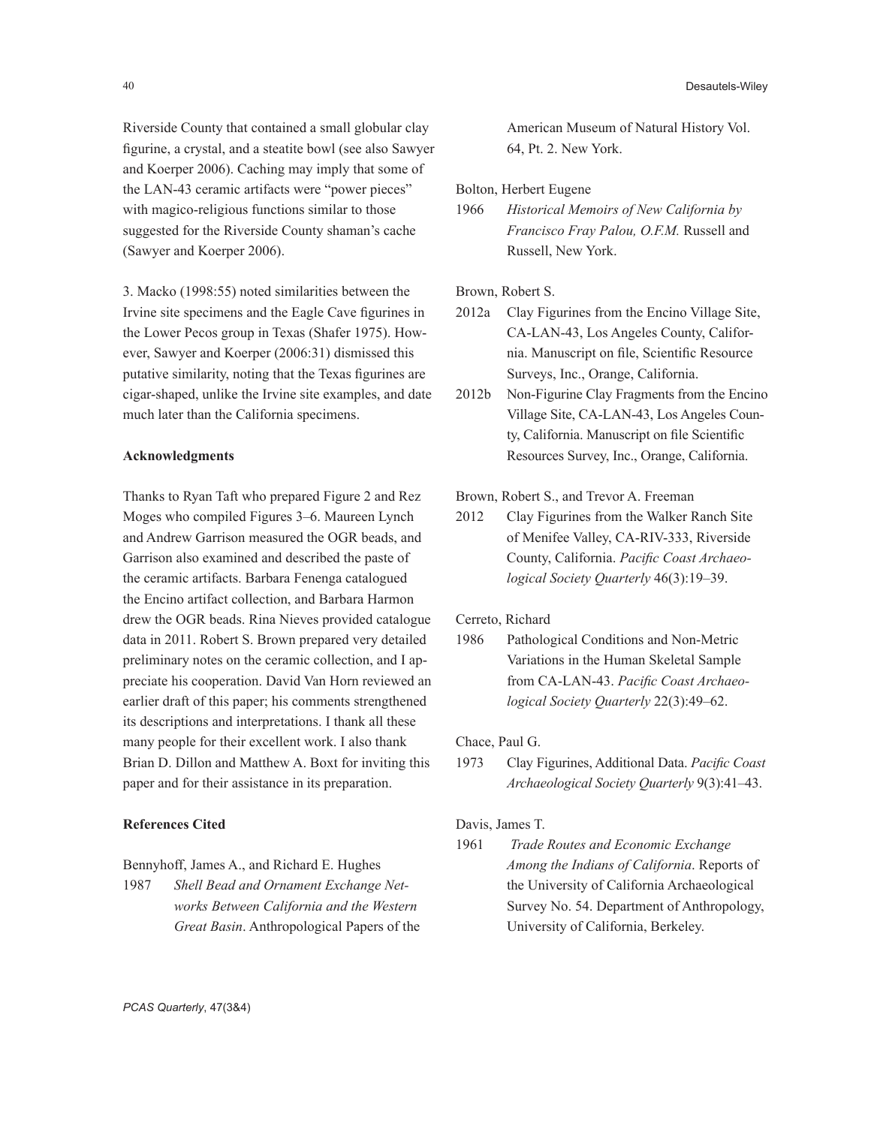Riverside County that contained a small globular clay figurine, a crystal, and a steatite bowl (see also Sawyer and Koerper 2006). Caching may imply that some of the LAN-43 ceramic artifacts were "power pieces" with magico-religious functions similar to those suggested for the Riverside County shaman's cache (Sawyer and Koerper 2006).

3. Macko (1998:55) noted similarities between the Irvine site specimens and the Eagle Cave figurines in the Lower Pecos group in Texas (Shafer 1975). However, Sawyer and Koerper (2006:31) dismissed this putative similarity, noting that the Texas figurines are cigar-shaped, unlike the Irvine site examples, and date much later than the California specimens.

#### **Acknowledgments**

Thanks to Ryan Taft who prepared Figure 2 and Rez Moges who compiled Figures 3–6. Maureen Lynch and Andrew Garrison measured the OGR beads, and Garrison also examined and described the paste of the ceramic artifacts. Barbara Fenenga catalogued the Encino artifact collection, and Barbara Harmon drew the OGR beads. Rina Nieves provided catalogue data in 2011. Robert S. Brown prepared very detailed preliminary notes on the ceramic collection, and I appreciate his cooperation. David Van Horn reviewed an earlier draft of this paper; his comments strengthened its descriptions and interpretations. I thank all these many people for their excellent work. I also thank Brian D. Dillon and Matthew A. Boxt for inviting this paper and for their assistance in its preparation.

#### **References Cited**

Bennyhoff, James A., and Richard E. Hughes

1987 *Shell Bead and Ornament Exchange Networks Between California and the Western Great Basin*. Anthropological Papers of the American Museum of Natural History Vol. 64, Pt. 2. New York.

Bolton, Herbert Eugene

1966 *Historical Memoirs of New California by Francisco Fray Palou, O.F.M.* Russell and Russell, New York.

Brown, Robert S.

- 2012a Clay Figurines from the Encino Village Site, CA-LAN-43, Los Angeles County, California. Manuscript on file, Scientific Resource Surveys, Inc., Orange, California.
- 2012b Non-Figurine Clay Fragments from the Encino Village Site, CA-LAN-43, Los Angeles County, California. Manuscript on file Scientific Resources Survey, Inc., Orange, California.
- Brown, Robert S., and Trevor A. Freeman
- 2012 Clay Figurines from the Walker Ranch Site of Menifee Valley, CA-RIV-333, Riverside County, California. *Pacific Coast Archaeological Society Quarterly* 46(3):19–39.

Cerreto, Richard

1986 Pathological Conditions and Non-Metric Variations in the Human Skeletal Sample from CA-LAN-43. *Pacific Coast Archaeological Society Quarterly* 22(3):49–62.

Chace, Paul G.

1973 Clay Figurines, Additional Data. *Pacific Coast Archaeological Society Quarterly* 9(3):41–43.

# Davis, James T.

1961 *Trade Routes and Economic Exchange Among the Indians of California*. Reports of the University of California Archaeological Survey No. 54. Department of Anthropology, University of California, Berkeley.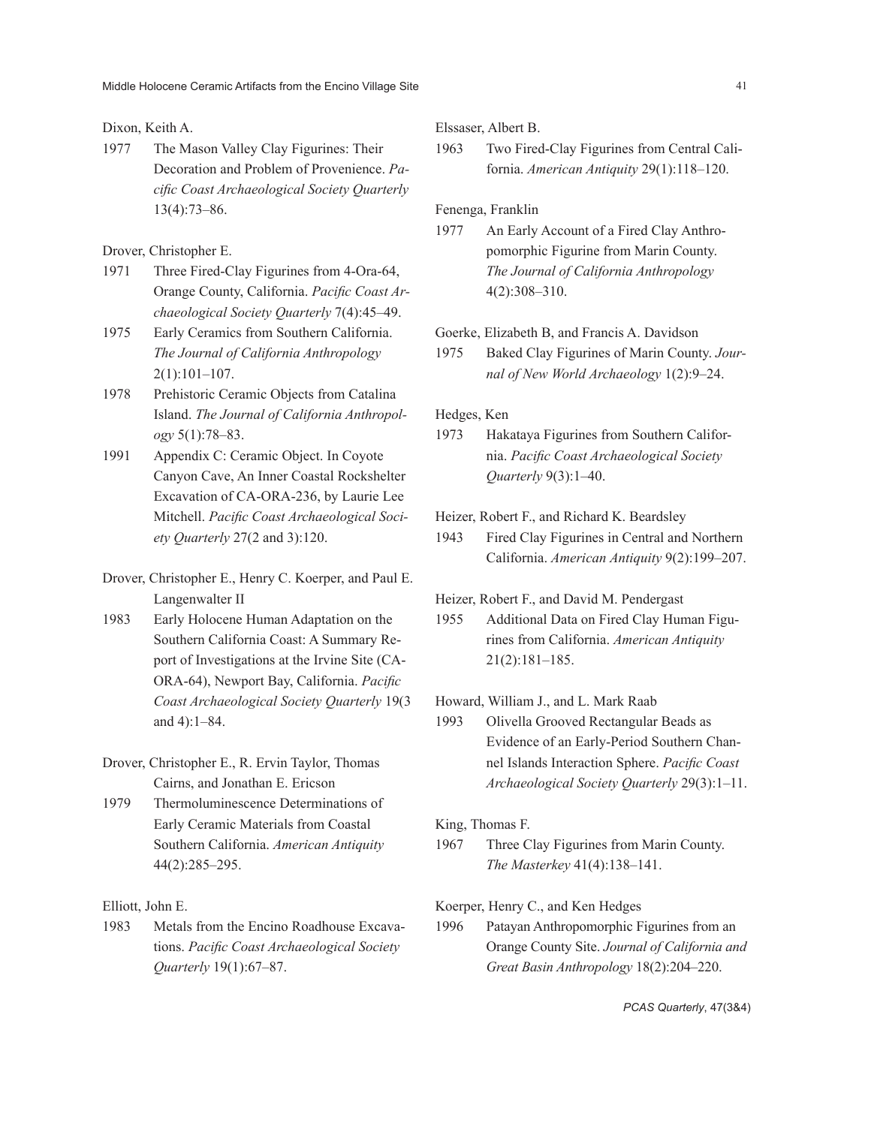#### Dixon, Keith A.

1977 The Mason Valley Clay Figurines: Their Decoration and Problem of Provenience. *Pacific Coast Archaeological Society Quarterly* 13(4):73–86.

#### Drover, Christopher E.

- 1971 Three Fired-Clay Figurines from 4-Ora-64, Orange County, California. *Pacific Coast Archaeological Society Quarterly* 7(4):45–49.
- 1975 Early Ceramics from Southern California. *The Journal of California Anthropology* 2(1):101–107.
- 1978 Prehistoric Ceramic Objects from Catalina Island. *The Journal of California Anthropology* 5(1):78–83.
- 1991 Appendix C: Ceramic Object. In Coyote Canyon Cave, An Inner Coastal Rockshelter Excavation of CA-ORA-236, by Laurie Lee Mitchell. *Pacific Coast Archaeological Society Quarterly* 27(2 and 3):120.
- Drover, Christopher E., Henry C. Koerper, and Paul E. Langenwalter II
- 1983 Early Holocene Human Adaptation on the Southern California Coast: A Summary Report of Investigations at the Irvine Site (CA-ORA-64), Newport Bay, California. *Pacific Coast Archaeological Society Quarterly* 19(3 and 4):1–84.
- Drover, Christopher E., R. Ervin Taylor, Thomas Cairns, and Jonathan E. Ericson
- 1979 Thermoluminescence Determinations of Early Ceramic Materials from Coastal Southern California. *American Antiquity* 44(2):285–295.

Elliott, John E.

1983 Metals from the Encino Roadhouse Excavations. *Pacific Coast Archaeological Society Quarterly* 19(1):67–87.

Elssaser, Albert B.

1963 Two Fired-Clay Figurines from Central California. *American Antiquity* 29(1):118–120.

Fenenga, Franklin

1977 An Early Account of a Fired Clay Anthropomorphic Figurine from Marin County. *The Journal of California Anthropology* 4(2):308–310.

Goerke, Elizabeth B, and Francis A. Davidson

1975 Baked Clay Figurines of Marin County. *Journal of New World Archaeology* 1(2):9–24.

Hedges, Ken

1973 Hakataya Figurines from Southern California. *Pacific Coast Archaeological Society Quarterly* 9(3):1–40.

Heizer, Robert F., and Richard K. Beardsley

1943 Fired Clay Figurines in Central and Northern California. *American Antiquity* 9(2):199–207.

Heizer, Robert F., and David M. Pendergast

1955 Additional Data on Fired Clay Human Figurines from California. *American Antiquity* 21(2):181–185.

Howard, William J., and L. Mark Raab

1993 Olivella Grooved Rectangular Beads as Evidence of an Early-Period Southern Channel Islands Interaction Sphere. *Pacific Coast Archaeological Society Quarterly* 29(3):1–11.

#### King, Thomas F.

1967 Three Clay Figurines from Marin County. *The Masterkey* 41(4):138–141.

Koerper, Henry C., and Ken Hedges

1996 Patayan Anthropomorphic Figurines from an Orange County Site. *Journal of California and Great Basin Anthropology* 18(2):204–220.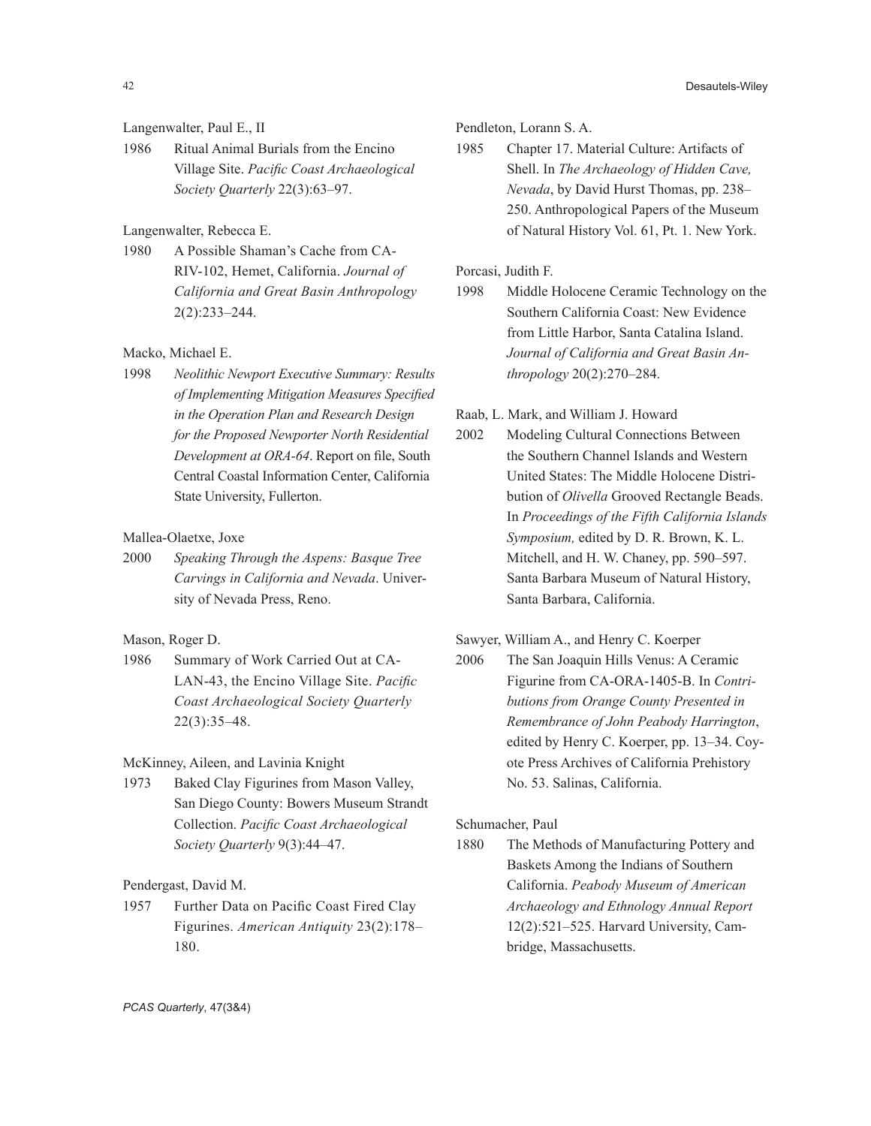42 Desautels-Wiley 2014

# Langenwalter, Paul E., II

1986 Ritual Animal Burials from the Encino Village Site. *Pacific Coast Archaeological Society Quarterly* 22(3):63–97.

# Langenwalter, Rebecca E.

1980 A Possible Shaman's Cache from CA-RIV-102, Hemet, California. *Journal of California and Great Basin Anthropology* 2(2):233–244.

# Macko, Michael E.

1998 *Neolithic Newport Executive Summary: Results of Implementing Mitigation Measures Specified in the Operation Plan and Research Design for the Proposed Newporter North Residential Development at ORA-64*. Report on file, South Central Coastal Information Center, California State University, Fullerton.

## Mallea-Olaetxe, Joxe

2000 *Speaking Through the Aspens: Basque Tree Carvings in California and Nevada*. University of Nevada Press, Reno.

Mason, Roger D.

1986 Summary of Work Carried Out at CA-LAN-43, the Encino Village Site. *Pacific Coast Archaeological Society Quarterly* 22(3):35–48.

McKinney, Aileen, and Lavinia Knight

1973 Baked Clay Figurines from Mason Valley, San Diego County: Bowers Museum Strandt Collection. *Pacific Coast Archaeological Society Quarterly* 9(3):44–47.

Pendergast, David M.

1957 Further Data on Pacific Coast Fired Clay Figurines. *American Antiquity* 23(2):178– 180.

Pendleton, Lorann S. A.

1985 Chapter 17. Material Culture: Artifacts of Shell. In *The Archaeology of Hidden Cave, Nevada*, by David Hurst Thomas, pp. 238– 250. Anthropological Papers of the Museum of Natural History Vol. 61, Pt. 1. New York.

Porcasi, Judith F.

1998 Middle Holocene Ceramic Technology on the Southern California Coast: New Evidence from Little Harbor, Santa Catalina Island. *Journal of California and Great Basin Anthropology* 20(2):270–284.

Raab, L. Mark, and William J. Howard

2002 Modeling Cultural Connections Between the Southern Channel Islands and Western United States: The Middle Holocene Distribution of *Olivella* Grooved Rectangle Beads. In *Proceedings of the Fifth California Islands Symposium,* edited by D. R. Brown, K. L. Mitchell, and H. W. Chaney, pp. 590–597. Santa Barbara Museum of Natural History, Santa Barbara, California.

Sawyer, William A., and Henry C. Koerper

2006 The San Joaquin Hills Venus: A Ceramic Figurine from CA-ORA-1405-B. In *Contributions from Orange County Presented in Remembrance of John Peabody Harrington*, edited by Henry C. Koerper, pp. 13–34. Coyote Press Archives of California Prehistory No. 53. Salinas, California.

Schumacher, Paul

1880 The Methods of Manufacturing Pottery and Baskets Among the Indians of Southern California. *Peabody Museum of American Archaeology and Ethnology Annual Report* 12(2):521–525. Harvard University, Cambridge, Massachusetts.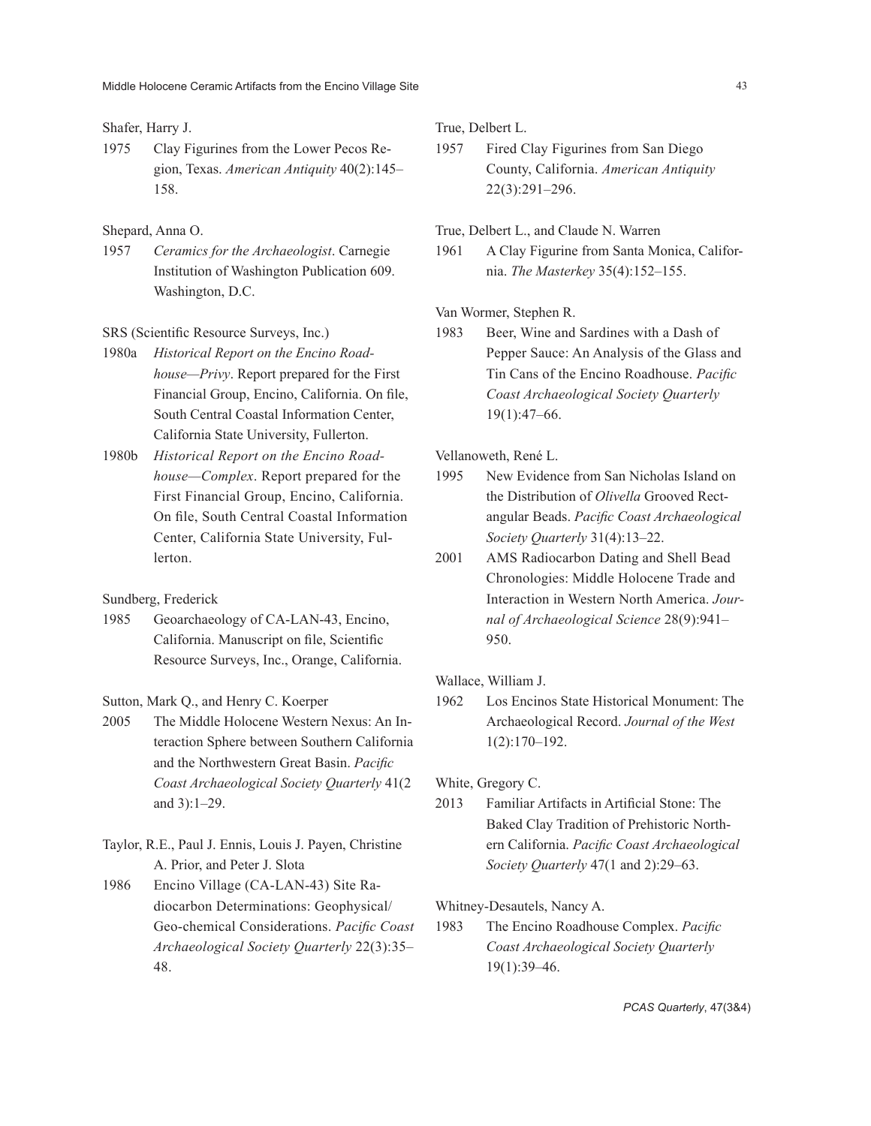#### Shafer, Harry J.

1975 Clay Figurines from the Lower Pecos Region, Texas. *American Antiquity* 40(2):145– 158.

#### Shepard, Anna O.

1957 *Ceramics for the Archaeologist*. Carnegie Institution of Washington Publication 609. Washington, D.C.

### SRS (Scientific Resource Surveys, Inc.)

- 1980a *Historical Report on the Encino Roadhouse—Privy*. Report prepared for the First Financial Group, Encino, California. On file, South Central Coastal Information Center, California State University, Fullerton.
- 1980b *Historical Report on the Encino Roadhouse—Complex*. Report prepared for the First Financial Group, Encino, California. On file, South Central Coastal Information Center, California State University, Fullerton.

Sundberg, Frederick

1985 Geoarchaeology of CA-LAN-43, Encino, California. Manuscript on file, Scientific Resource Surveys, Inc., Orange, California.

Sutton, Mark Q., and Henry C. Koerper

- 2005 The Middle Holocene Western Nexus: An Interaction Sphere between Southern California and the Northwestern Great Basin. *Pacific Coast Archaeological Society Quarterly* 41(2 and 3):1–29.
- Taylor, R.E., Paul J. Ennis, Louis J. Payen, Christine A. Prior, and Peter J. Slota
- 1986 Encino Village (CA-LAN-43) Site Radiocarbon Determinations: Geophysical/ Geo-chemical Considerations. *Pacific Coast Archaeological Society Quarterly* 22(3):35– 48.

True, Delbert L.

1957 Fired Clay Figurines from San Diego County, California. *American Antiquity* 22(3):291–296.

True, Delbert L., and Claude N. Warren

1961 A Clay Figurine from Santa Monica, California. *The Masterkey* 35(4):152–155.

Van Wormer, Stephen R.

1983 Beer, Wine and Sardines with a Dash of Pepper Sauce: An Analysis of the Glass and Tin Cans of the Encino Roadhouse. *Pacific Coast Archaeological Society Quarterly* 19(1):47–66.

Vellanoweth, René L.

- 1995 New Evidence from San Nicholas Island on the Distribution of *Olivella* Grooved Rectangular Beads. *Pacific Coast Archaeological Society Quarterly* 31(4):13–22.
- 2001 AMS Radiocarbon Dating and Shell Bead Chronologies: Middle Holocene Trade and Interaction in Western North America. *Journal of Archaeological Science* 28(9):941– 950.

Wallace, William J.

1962 Los Encinos State Historical Monument: The Archaeological Record. *Journal of the West* 1(2):170–192.

White, Gregory C.

2013 Familiar Artifacts in Artificial Stone: The Baked Clay Tradition of Prehistoric Northern California. *Pacific Coast Archaeological Society Quarterly* 47(1 and 2):29–63.

Whitney-Desautels, Nancy A.

1983 The Encino Roadhouse Complex. *Pacific Coast Archaeological Society Quarterly* 19(1):39–46.